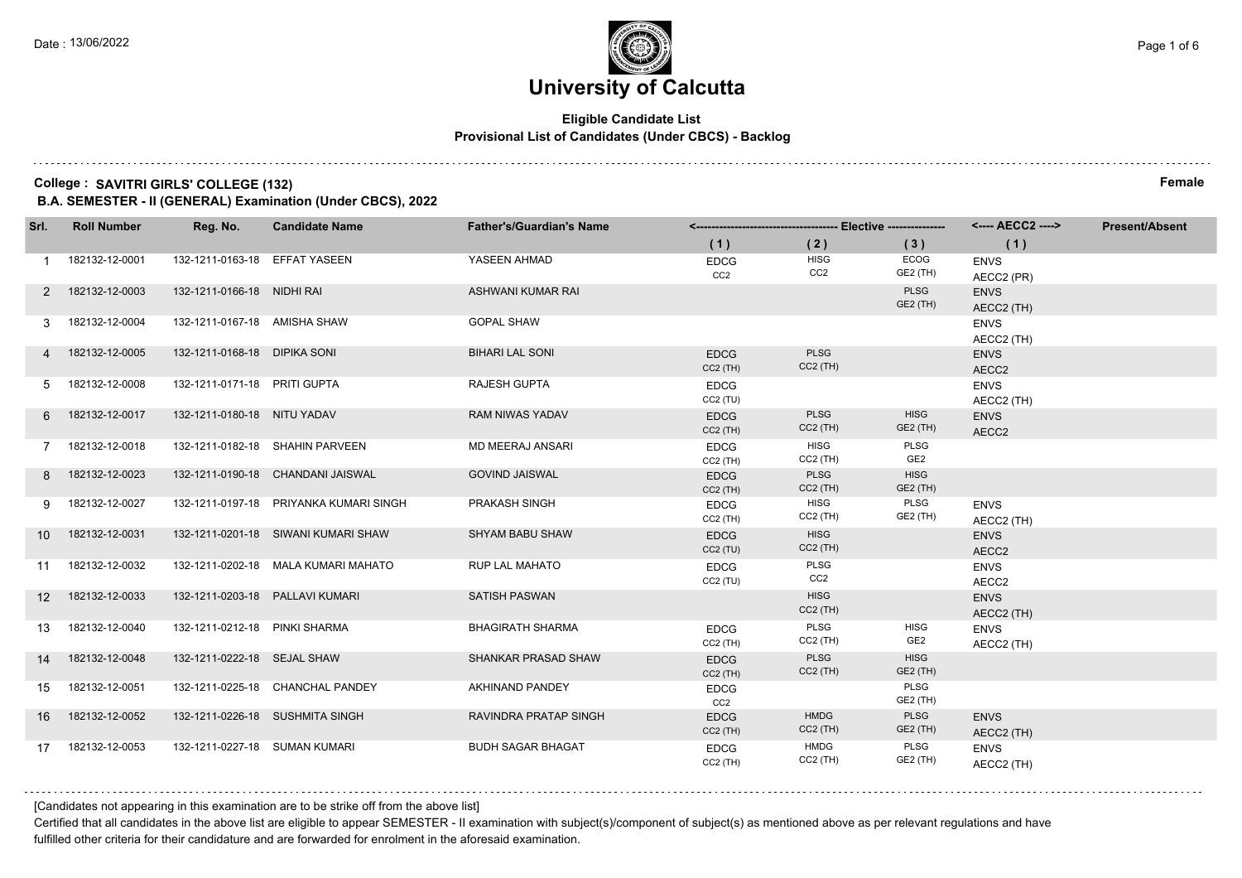### **Eligible Candidate List Provisional List of Candidates (Under CBCS) - Backlog**

#### **College : SAVITRI GIRLS' COLLEGE (132) Female**

**B.A. SEMESTER - II (GENERAL) Examination (Under CBCS), 2022**

| Srl.            | <b>Roll Number</b> | Reg. No.                        | <b>Candidate Name</b>                  | <b>Father's/Guardian's Name</b> |                                |                                |                                | <---- AECC2 ---->         | <b>Present/Absent</b> |
|-----------------|--------------------|---------------------------------|----------------------------------------|---------------------------------|--------------------------------|--------------------------------|--------------------------------|---------------------------|-----------------------|
|                 |                    |                                 |                                        |                                 | (1)                            | (2)                            | (3)                            | (1)                       |                       |
|                 | 182132-12-0001     | 132-1211-0163-18 EFFAT YASEEN   |                                        | YASEEN AHMAD                    | <b>EDCG</b><br>CC <sub>2</sub> | <b>HISG</b><br>CC <sub>2</sub> | ECOG<br>GE2 (TH)               | <b>ENVS</b><br>AECC2 (PR) |                       |
| 2               | 182132-12-0003     | 132-1211-0166-18 NIDHI RAI      |                                        | ASHWANI KUMAR RAI               |                                |                                | <b>PLSG</b><br>GE2 (TH)        | <b>ENVS</b><br>AECC2 (TH) |                       |
|                 | 182132-12-0004     | 132-1211-0167-18 AMISHA SHAW    |                                        | <b>GOPAL SHAW</b>               |                                |                                |                                | <b>ENVS</b><br>AECC2 (TH) |                       |
| $\overline{4}$  | 182132-12-0005     | 132-1211-0168-18 DIPIKA SONI    |                                        | <b>BIHARI LAL SONI</b>          | <b>EDCG</b><br>$CC2$ (TH)      | <b>PLSG</b><br>$CC2$ (TH)      |                                | <b>ENVS</b><br>AECC2      |                       |
| 5               | 182132-12-0008     | 132-1211-0171-18 PRITI GUPTA    |                                        | <b>RAJESH GUPTA</b>             | <b>EDCG</b><br>CC2(TU)         |                                |                                | <b>ENVS</b><br>AECC2 (TH) |                       |
| 6               | 182132-12-0017     | 132-1211-0180-18 NITU YADAV     |                                        | <b>RAM NIWAS YADAV</b>          | <b>EDCG</b><br>$CC2$ (TH)      | <b>PLSG</b><br>$CC2$ (TH)      | <b>HISG</b><br>GE2 (TH)        | <b>ENVS</b><br>AECC2      |                       |
| $7^{\circ}$     | 182132-12-0018     |                                 | 132-1211-0182-18 SHAHIN PARVEEN        | <b>MD MEERAJ ANSARI</b>         | <b>EDCG</b><br>$CC2$ (TH)      | <b>HISG</b><br>$CC2$ (TH)      | <b>PLSG</b><br>GE2             |                           |                       |
| 8               | 182132-12-0023     |                                 | 132-1211-0190-18 CHANDANI JAISWAL      | <b>GOVIND JAISWAL</b>           | <b>EDCG</b><br>$CC2$ (TH)      | <b>PLSG</b><br>$CC2$ (TH)      | <b>HISG</b><br>GE2 (TH)        |                           |                       |
| 9               | 182132-12-0027     |                                 | 132-1211-0197-18 PRIYANKA KUMARI SINGH | PRAKASH SINGH                   | <b>EDCG</b><br>$CC2$ (TH)      | <b>HISG</b><br>$CC2$ (TH)      | PLSG<br>GE2 (TH)               | <b>ENVS</b><br>AECC2 (TH) |                       |
| 10              | 182132-12-0031     |                                 | 132-1211-0201-18 SIWANI KUMARI SHAW    | <b>SHYAM BABU SHAW</b>          | <b>EDCG</b><br>CC2(TU)         | <b>HISG</b><br>$CC2$ (TH)      |                                | <b>ENVS</b><br>AECC2      |                       |
| 11              | 182132-12-0032     |                                 | 132-1211-0202-18 MALA KUMARI MAHATO    | <b>RUP LAL MAHATO</b>           | <b>EDCG</b><br>CC2(TU)         | PLSG<br>CC2                    |                                | <b>ENVS</b><br>AECC2      |                       |
| 12 <sup>°</sup> | 182132-12-0033     | 132-1211-0203-18 PALLAVI KUMARI |                                        | <b>SATISH PASWAN</b>            |                                | <b>HISG</b><br>$CC2$ (TH)      |                                | <b>ENVS</b><br>AECC2 (TH) |                       |
| 13              | 182132-12-0040     | 132-1211-0212-18 PINKI SHARMA   |                                        | <b>BHAGIRATH SHARMA</b>         | <b>EDCG</b><br>$CC2$ (TH)      | PLSG<br>$CC2$ (TH)             | <b>HISG</b><br>GE <sub>2</sub> | <b>ENVS</b><br>AECC2 (TH) |                       |
| 14              | 182132-12-0048     | 132-1211-0222-18 SEJAL SHAW     |                                        | SHANKAR PRASAD SHAW             | <b>EDCG</b><br>$CC2$ (TH)      | PLSG<br>$CC2$ (TH)             | <b>HISG</b><br>GE2 (TH)        |                           |                       |
| 15              | 182132-12-0051     |                                 | 132-1211-0225-18 CHANCHAL PANDEY       | <b>AKHINAND PANDEY</b>          | <b>EDCG</b><br>CC <sub>2</sub> |                                | PLSG<br>GE2 (TH)               |                           |                       |
| 16              | 182132-12-0052     |                                 | 132-1211-0226-18 SUSHMITA SINGH        | RAVINDRA PRATAP SINGH           | <b>EDCG</b><br>$CC2$ (TH)      | <b>HMDG</b><br>$CC2$ (TH)      | PLSG<br>GE2 (TH)               | <b>ENVS</b><br>AECC2 (TH) |                       |
| 17              | 182132-12-0053     | 132-1211-0227-18 SUMAN KUMARI   |                                        | <b>BUDH SAGAR BHAGAT</b>        | <b>EDCG</b><br>$CC2$ (TH)      | <b>HMDG</b><br>$CC2$ (TH)      | PLSG<br>GE2 (TH)               | <b>ENVS</b><br>AECC2 (TH) |                       |

[Candidates not appearing in this examination are to be strike off from the above list]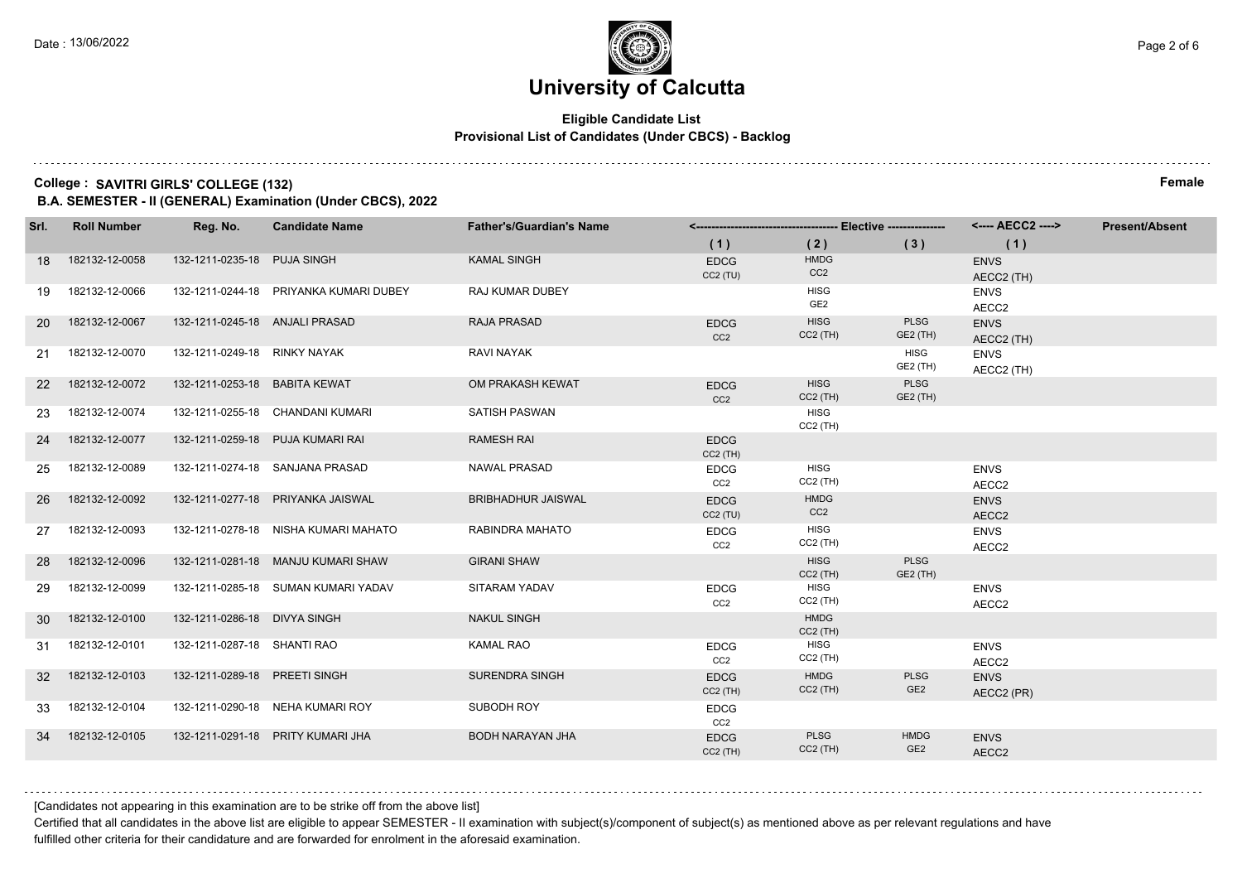### **Eligible Candidate List Provisional List of Candidates (Under CBCS) - Backlog**

#### **College : SAVITRI GIRLS' COLLEGE (132) Female**

**B.A. SEMESTER - II (GENERAL) Examination (Under CBCS), 2022**

| Srl.      | <b>Roll Number</b> | Reg. No.                       | <b>Candidate Name</b>                  | <b>Father's/Guardian's Name</b> |                                |                                |                                |                           | <b>Present/Absent</b> |
|-----------|--------------------|--------------------------------|----------------------------------------|---------------------------------|--------------------------------|--------------------------------|--------------------------------|---------------------------|-----------------------|
|           |                    |                                |                                        |                                 | (1)                            | (2)                            | (3)                            | (1)                       |                       |
| 18        | 182132-12-0058     | 132-1211-0235-18 PUJA SINGH    |                                        | <b>KAMAL SINGH</b>              | <b>EDCG</b><br>CC2(TU)         | <b>HMDG</b><br>CC <sub>2</sub> |                                | <b>ENVS</b><br>AECC2 (TH) |                       |
| 19        | 182132-12-0066     |                                | 132-1211-0244-18 PRIYANKA KUMARI DUBEY | <b>RAJ KUMAR DUBEY</b>          |                                | <b>HISG</b><br>GE2             |                                | <b>ENVS</b><br>AECC2      |                       |
| <b>20</b> | 182132-12-0067     | 132-1211-0245-18 ANJALI PRASAD |                                        | <b>RAJA PRASAD</b>              | <b>EDCG</b><br>CC <sub>2</sub> | <b>HISG</b><br>$CC2$ (TH)      | <b>PLSG</b><br>GE2 (TH)        | <b>ENVS</b><br>AECC2 (TH) |                       |
| 21        | 182132-12-0070     | 132-1211-0249-18 RINKY NAYAK   |                                        | RAVI NAYAK                      |                                |                                | <b>HISG</b><br>GE2 (TH)        | <b>ENVS</b><br>AECC2 (TH) |                       |
| <b>22</b> | 182132-12-0072     | 132-1211-0253-18 BABITA KEWAT  |                                        | OM PRAKASH KEWAT                | <b>EDCG</b><br>CC <sub>2</sub> | <b>HISG</b><br>$CC2$ (TH)      | <b>PLSG</b><br>GE2 (TH)        |                           |                       |
| 23        | 182132-12-0074     |                                | 132-1211-0255-18 CHANDANI KUMARI       | <b>SATISH PASWAN</b>            |                                | <b>HISG</b><br>$CC2$ (TH)      |                                |                           |                       |
| 24        | 182132-12-0077     |                                | 132-1211-0259-18 PUJA KUMARI RAI       | <b>RAMESH RAI</b>               | <b>EDCG</b><br>$CC2$ (TH)      |                                |                                |                           |                       |
| 25        | 182132-12-0089     |                                | 132-1211-0274-18 SANJANA PRASAD        | NAWAL PRASAD                    | <b>EDCG</b><br>CC2             | <b>HISG</b><br>$CC2$ (TH)      |                                | <b>ENVS</b><br>AECC2      |                       |
| 26        | 182132-12-0092     |                                | 132-1211-0277-18 PRIYANKA JAISWAL      | <b>BRIBHADHUR JAISWAL</b>       | <b>EDCG</b><br>CC2(TU)         | <b>HMDG</b><br>CC <sub>2</sub> |                                | <b>ENVS</b><br>AECC2      |                       |
| 27        | 182132-12-0093     |                                | 132-1211-0278-18 NISHA KUMARI MAHATO   | RABINDRA MAHATO                 | <b>EDCG</b><br>CC <sub>2</sub> | <b>HISG</b><br>$CC2$ (TH)      |                                | <b>ENVS</b><br>AECC2      |                       |
| 28        | 182132-12-0096     |                                | 132-1211-0281-18 MANJU KUMARI SHAW     | <b>GIRANI SHAW</b>              |                                | <b>HISG</b><br>$CC2$ (TH)      | <b>PLSG</b><br>GE2 (TH)        |                           |                       |
| 29        | 182132-12-0099     |                                | 132-1211-0285-18 SUMAN KUMARI YADAV    | SITARAM YADAV                   | <b>EDCG</b><br>CC <sub>2</sub> | <b>HISG</b><br>$CC2$ (TH)      |                                | <b>ENVS</b><br>AECC2      |                       |
| 30        | 182132-12-0100     | 132-1211-0286-18 DIVYA SINGH   |                                        | <b>NAKUL SINGH</b>              |                                | <b>HMDG</b><br>$CC2$ (TH)      |                                |                           |                       |
| 31        | 182132-12-0101     | 132-1211-0287-18 SHANTI RAO    |                                        | <b>KAMAL RAO</b>                | <b>EDCG</b><br>CC <sub>2</sub> | <b>HISG</b><br>$CC2$ (TH)      |                                | <b>ENVS</b><br>AECC2      |                       |
| 32        | 182132-12-0103     | 132-1211-0289-18 PREETI SINGH  |                                        | SURENDRA SINGH                  | <b>EDCG</b><br>$CC2$ (TH)      | <b>HMDG</b><br>$CC2$ (TH)      | <b>PLSG</b><br>GE <sub>2</sub> | <b>ENVS</b><br>AECC2 (PR) |                       |
| 33        | 182132-12-0104     |                                | 132-1211-0290-18 NEHA KUMARI ROY       | SUBODH ROY                      | <b>EDCG</b><br>CC <sub>2</sub> |                                |                                |                           |                       |
| 34        | 182132-12-0105     |                                | 132-1211-0291-18 PRITY KUMARI JHA      | BODH NARAYAN JHA                | <b>EDCG</b><br>$CC2$ (TH)      | <b>PLSG</b><br>$CC2$ (TH)      | <b>HMDG</b><br>GE <sub>2</sub> | <b>ENVS</b><br>AECC2      |                       |

[Candidates not appearing in this examination are to be strike off from the above list]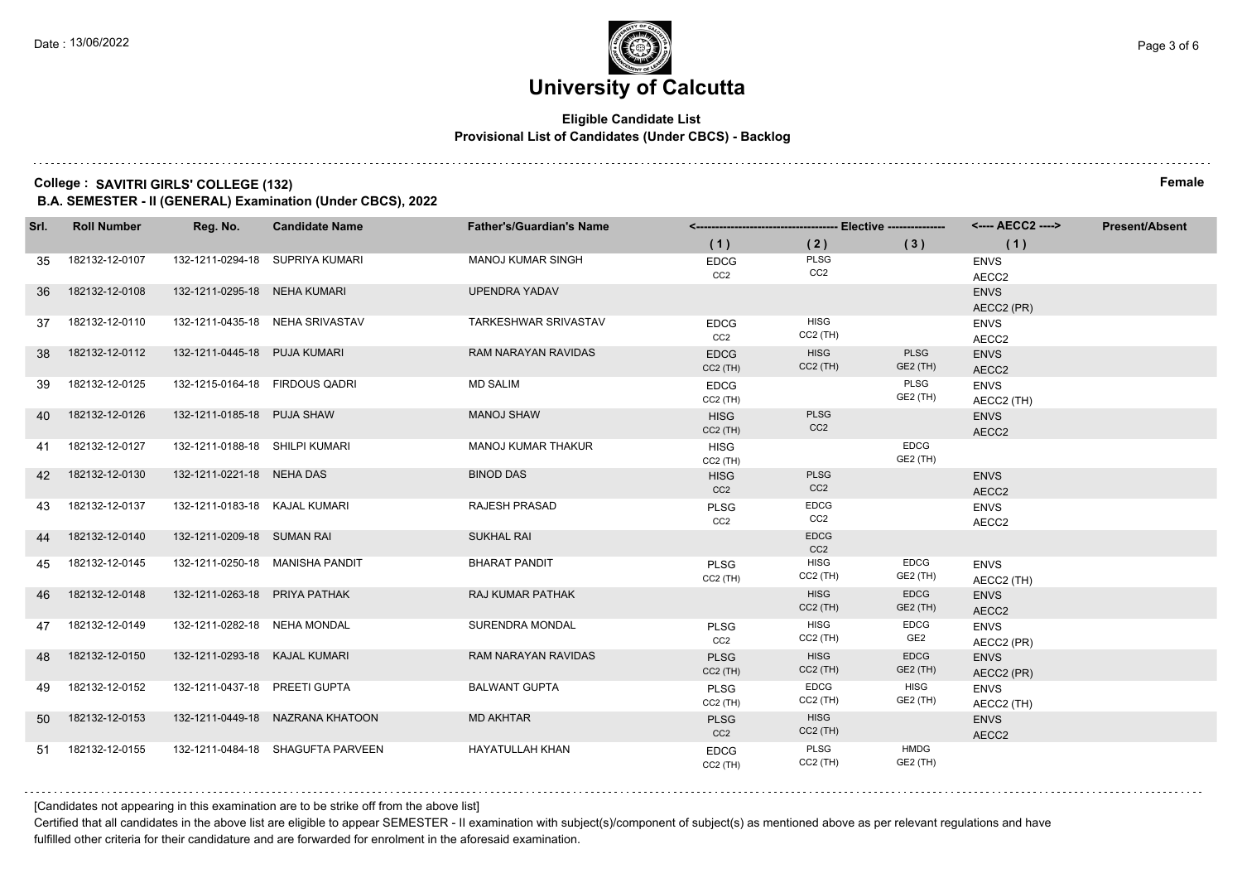### **Eligible Candidate List Provisional List of Candidates (Under CBCS) - Backlog**

#### **College : SAVITRI GIRLS' COLLEGE (132) Female**

**B.A. SEMESTER - II (GENERAL) Examination (Under CBCS), 2022**

| Srl. | <b>Roll Number</b> | Reg. No.                       | <b>Candidate Name</b>             | <b>Father's/Guardian's Name</b> |                                |                                |                                |                           | <b>Present/Absent</b> |
|------|--------------------|--------------------------------|-----------------------------------|---------------------------------|--------------------------------|--------------------------------|--------------------------------|---------------------------|-----------------------|
|      |                    |                                |                                   |                                 | (1)                            | (2)                            | (3)                            | (1)                       |                       |
| 35   | 182132-12-0107     |                                | 132-1211-0294-18 SUPRIYA KUMARI   | <b>MANOJ KUMAR SINGH</b>        | <b>EDCG</b><br>CC <sub>2</sub> | PLSG<br>CC <sub>2</sub>        |                                | <b>ENVS</b><br>AECC2      |                       |
| 36   | 182132-12-0108     | 132-1211-0295-18 NEHA KUMARI   |                                   | <b>UPENDRA YADAV</b>            |                                |                                |                                | <b>ENVS</b><br>AECC2 (PR) |                       |
| 37   | 182132-12-0110     |                                | 132-1211-0435-18 NEHA SRIVASTAV   | TARKESHWAR SRIVASTAV            | <b>EDCG</b><br>CC <sub>2</sub> | <b>HISG</b><br>$CC2$ (TH)      |                                | <b>ENVS</b><br>AECC2      |                       |
| 38   | 182132-12-0112     | 132-1211-0445-18 PUJA KUMARI   |                                   | <b>RAM NARAYAN RAVIDAS</b>      | <b>EDCG</b><br>$CC2$ (TH)      | <b>HISG</b><br>$CC2$ (TH)      | <b>PLSG</b><br><b>GE2 (TH)</b> | <b>ENVS</b><br>AECC2      |                       |
| 39   | 182132-12-0125     | 132-1215-0164-18 FIRDOUS QADRI |                                   | <b>MD SALIM</b>                 | <b>EDCG</b><br>$CC2$ (TH)      |                                | PLSG<br>GE2 (TH)               | <b>ENVS</b><br>AECC2 (TH) |                       |
| 40   | 182132-12-0126     | 132-1211-0185-18 PUJA SHAW     |                                   | <b>MANOJ SHAW</b>               | <b>HISG</b><br>$CC2$ (TH)      | <b>PLSG</b><br>CC <sub>2</sub> |                                | <b>ENVS</b><br>AECC2      |                       |
| 41   | 182132-12-0127     | 132-1211-0188-18 SHILPI KUMARI |                                   | MANOJ KUMAR THAKUR              | <b>HISG</b><br>CC2 (TH)        |                                | <b>EDCG</b><br>GE2 (TH)        |                           |                       |
| 42   | 182132-12-0130     | 132-1211-0221-18 NEHA DAS      |                                   | <b>BINOD DAS</b>                | <b>HISG</b><br>CC2             | <b>PLSG</b><br>CC <sub>2</sub> |                                | <b>ENVS</b><br>AECC2      |                       |
| 43   | 182132-12-0137     | 132-1211-0183-18 KAJAL KUMARI  |                                   | <b>RAJESH PRASAD</b>            | <b>PLSG</b><br>CC <sub>2</sub> | <b>EDCG</b><br>CC <sub>2</sub> |                                | <b>ENVS</b><br>AECC2      |                       |
| 44   | 182132-12-0140     | 132-1211-0209-18 SUMAN RAI     |                                   | <b>SUKHAL RAI</b>               |                                | <b>EDCG</b><br>CC <sub>2</sub> |                                |                           |                       |
| 45   | 182132-12-0145     |                                | 132-1211-0250-18 MANISHA PANDIT   | <b>BHARAT PANDIT</b>            | <b>PLSG</b><br>$CC2$ (TH)      | <b>HISG</b><br>$CC2$ (TH)      | <b>EDCG</b><br>GE2 (TH)        | <b>ENVS</b><br>AECC2 (TH) |                       |
| 46   | 182132-12-0148     | 132-1211-0263-18 PRIYA PATHAK  |                                   | RAJ KUMAR PATHAK                |                                | <b>HISG</b><br>$CC2$ (TH)      | <b>EDCG</b><br>GE2 (TH)        | <b>ENVS</b><br>AECC2      |                       |
| 47   | 182132-12-0149     | 132-1211-0282-18 NEHA MONDAL   |                                   | SURENDRA MONDAL                 | <b>PLSG</b><br>CC <sub>2</sub> | <b>HISG</b><br>$CC2$ (TH)      | <b>EDCG</b><br>GE <sub>2</sub> | <b>ENVS</b><br>AECC2 (PR) |                       |
| 48   | 182132-12-0150     | 132-1211-0293-18 KAJAL KUMARI  |                                   | RAM NARAYAN RAVIDAS             | <b>PLSG</b><br>$CC2$ (TH)      | <b>HISG</b><br>$CC2$ (TH)      | <b>EDCG</b><br>GE2 (TH)        | <b>ENVS</b><br>AECC2 (PR) |                       |
| 49   | 182132-12-0152     | 132-1211-0437-18 PREETI GUPTA  |                                   | <b>BALWANT GUPTA</b>            | <b>PLSG</b><br>$CC2$ (TH)      | <b>EDCG</b><br>$CC2$ (TH)      | <b>HISG</b><br>GE2 (TH)        | <b>ENVS</b><br>AECC2 (TH) |                       |
| 50   | 182132-12-0153     |                                | 132-1211-0449-18 NAZRANA KHATOON  | <b>MD AKHTAR</b>                | <b>PLSG</b><br>CC <sub>2</sub> | <b>HISG</b><br>$CC2$ (TH)      |                                | <b>ENVS</b><br>AECC2      |                       |
| 51   | 182132-12-0155     |                                | 132-1211-0484-18 SHAGUFTA PARVEEN | <b>HAYATULLAH KHAN</b>          | <b>EDCG</b><br>$CC2$ (TH)      | PLSG<br>$CC2$ (TH)             | <b>HMDG</b><br>GE2 (TH)        |                           |                       |

[Candidates not appearing in this examination are to be strike off from the above list]

Certified that all candidates in the above list are eligible to appear SEMESTER - II examination with subject(s)/component of subject(s) as mentioned above as per relevant regulations and have fulfilled other criteria for their candidature and are forwarded for enrolment in the aforesaid examination.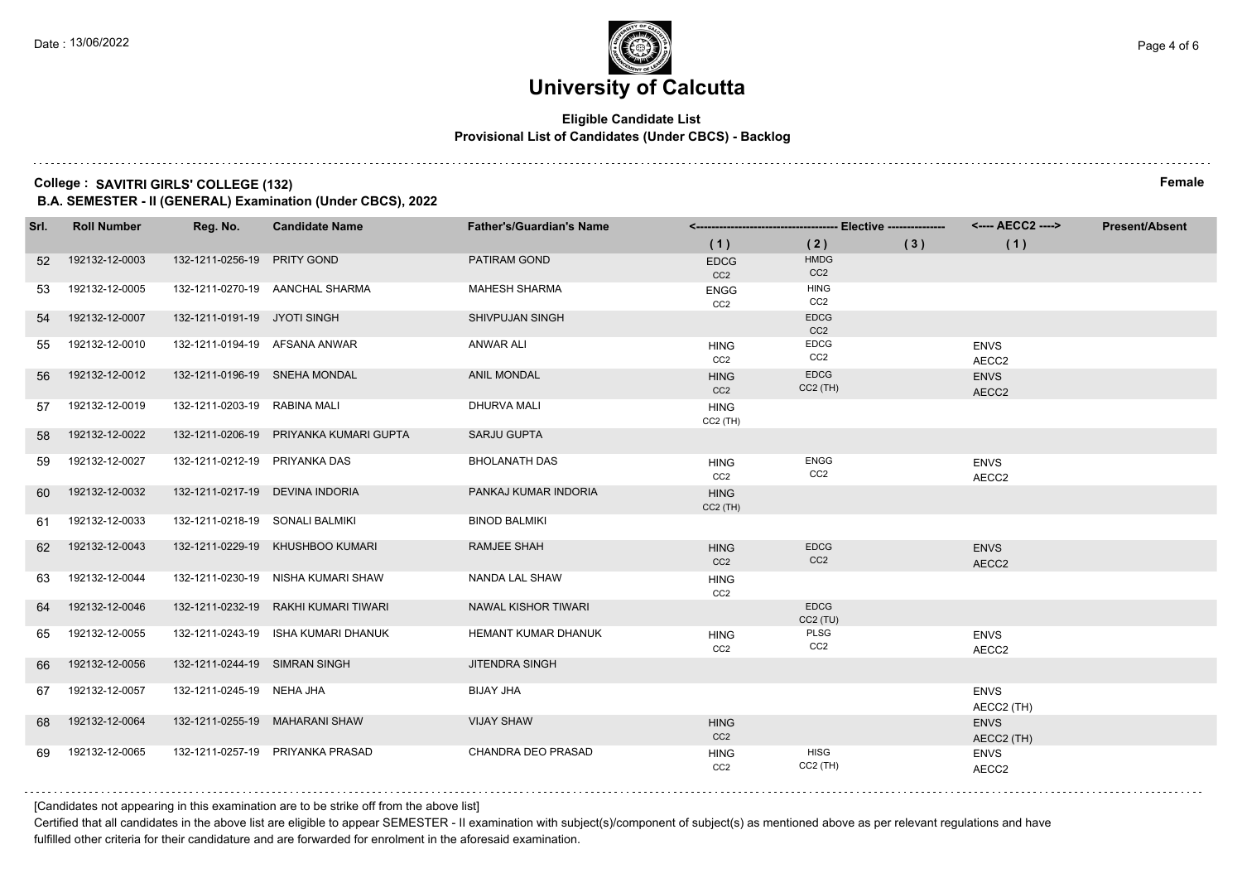### **Eligible Candidate List Provisional List of Candidates (Under CBCS) - Backlog**

#### **College : SAVITRI GIRLS' COLLEGE (132) Female**

**B.A. SEMESTER - II (GENERAL) Examination (Under CBCS), 2022**

| Srl. | <b>Roll Number</b> | Reg. No.                        | <b>Candidate Name</b>                  | <b>Father's/Guardian's Name</b> |                                |                                |     |                           | <b>Present/Absent</b> |
|------|--------------------|---------------------------------|----------------------------------------|---------------------------------|--------------------------------|--------------------------------|-----|---------------------------|-----------------------|
|      |                    |                                 |                                        |                                 | (1)                            | (2)                            | (3) | (1)                       |                       |
| 52   | 192132-12-0003     | 132-1211-0256-19 PRITY GOND     |                                        | <b>PATIRAM GOND</b>             | <b>EDCG</b><br>CC <sub>2</sub> | <b>HMDG</b><br>CC <sub>2</sub> |     |                           |                       |
| 53   | 192132-12-0005     |                                 | 132-1211-0270-19 AANCHAL SHARMA        | <b>MAHESH SHARMA</b>            | <b>ENGG</b><br>CC <sub>2</sub> | <b>HING</b><br>CC <sub>2</sub> |     |                           |                       |
| 54   | 192132-12-0007     | 132-1211-0191-19 JYOTI SINGH    |                                        | <b>SHIVPUJAN SINGH</b>          |                                | <b>EDCG</b><br>CC <sub>2</sub> |     |                           |                       |
| 55   | 192132-12-0010     |                                 | 132-1211-0194-19 AFSANA ANWAR          | <b>ANWAR ALI</b>                | <b>HING</b><br>CC <sub>2</sub> | EDCG<br>CC2                    |     | <b>ENVS</b><br>AECC2      |                       |
| 56   | 192132-12-0012     | 132-1211-0196-19 SNEHA MONDAL   |                                        | <b>ANIL MONDAL</b>              | <b>HING</b><br>CC <sub>2</sub> | <b>EDCG</b><br>$CC2$ (TH)      |     | <b>ENVS</b><br>AECC2      |                       |
| 57   | 192132-12-0019     | 132-1211-0203-19 RABINA MALI    |                                        | <b>DHURVA MALI</b>              | <b>HING</b><br>$CC2$ (TH)      |                                |     |                           |                       |
| 58   | 192132-12-0022     |                                 | 132-1211-0206-19 PRIYANKA KUMARI GUPTA | <b>SARJU GUPTA</b>              |                                |                                |     |                           |                       |
| 59   | 192132-12-0027     | 132-1211-0212-19 PRIYANKA DAS   |                                        | <b>BHOLANATH DAS</b>            | <b>HING</b><br>CC <sub>2</sub> | <b>ENGG</b><br>CC <sub>2</sub> |     | <b>ENVS</b><br>AECC2      |                       |
| 60   | 192132-12-0032     |                                 | 132-1211-0217-19 DEVINA INDORIA        | PANKAJ KUMAR INDORIA            | <b>HING</b><br>$CC2$ (TH)      |                                |     |                           |                       |
| 61   | 192132-12-0033     | 132-1211-0218-19 SONALI BALMIKI |                                        | <b>BINOD BALMIKI</b>            |                                |                                |     |                           |                       |
|      | 62 192132-12-0043  |                                 | 132-1211-0229-19 KHUSHBOO KUMARI       | <b>RAMJEE SHAH</b>              | <b>HING</b><br>CC <sub>2</sub> | <b>EDCG</b><br>CC <sub>2</sub> |     | <b>ENVS</b><br>AECC2      |                       |
| 63   | 192132-12-0044     |                                 | 132-1211-0230-19 NISHA KUMARI SHAW     | NANDA LAL SHAW                  | <b>HING</b><br>CC <sub>2</sub> |                                |     |                           |                       |
| 64   | 192132-12-0046     |                                 | 132-1211-0232-19 RAKHI KUMARI TIWARI   | NAWAL KISHOR TIWARI             |                                | <b>EDCG</b><br>$CC2$ (TU)      |     |                           |                       |
| 65   | 192132-12-0055     |                                 | 132-1211-0243-19 ISHA KUMARI DHANUK    | HEMANT KUMAR DHANUK             | <b>HING</b><br>CC <sub>2</sub> | PLSG<br>CC <sub>2</sub>        |     | <b>ENVS</b><br>AECC2      |                       |
| 66   | 192132-12-0056     | 132-1211-0244-19 SIMRAN SINGH   |                                        | <b>JITENDRA SINGH</b>           |                                |                                |     |                           |                       |
| 67   | 192132-12-0057     | 132-1211-0245-19 NEHA JHA       |                                        | <b>BIJAY JHA</b>                |                                |                                |     | <b>ENVS</b><br>AECC2 (TH) |                       |
| 68   | 192132-12-0064     |                                 | 132-1211-0255-19 MAHARANI SHAW         | <b>VIJAY SHAW</b>               | <b>HING</b><br>CC <sub>2</sub> |                                |     | <b>ENVS</b><br>AECC2 (TH) |                       |
| 69   | 192132-12-0065     |                                 | 132-1211-0257-19 PRIYANKA PRASAD       | <b>CHANDRA DEO PRASAD</b>       | <b>HING</b><br>CC <sub>2</sub> | <b>HISG</b><br>$CC2$ (TH)      |     | <b>ENVS</b><br>AECC2      |                       |

[Candidates not appearing in this examination are to be strike off from the above list]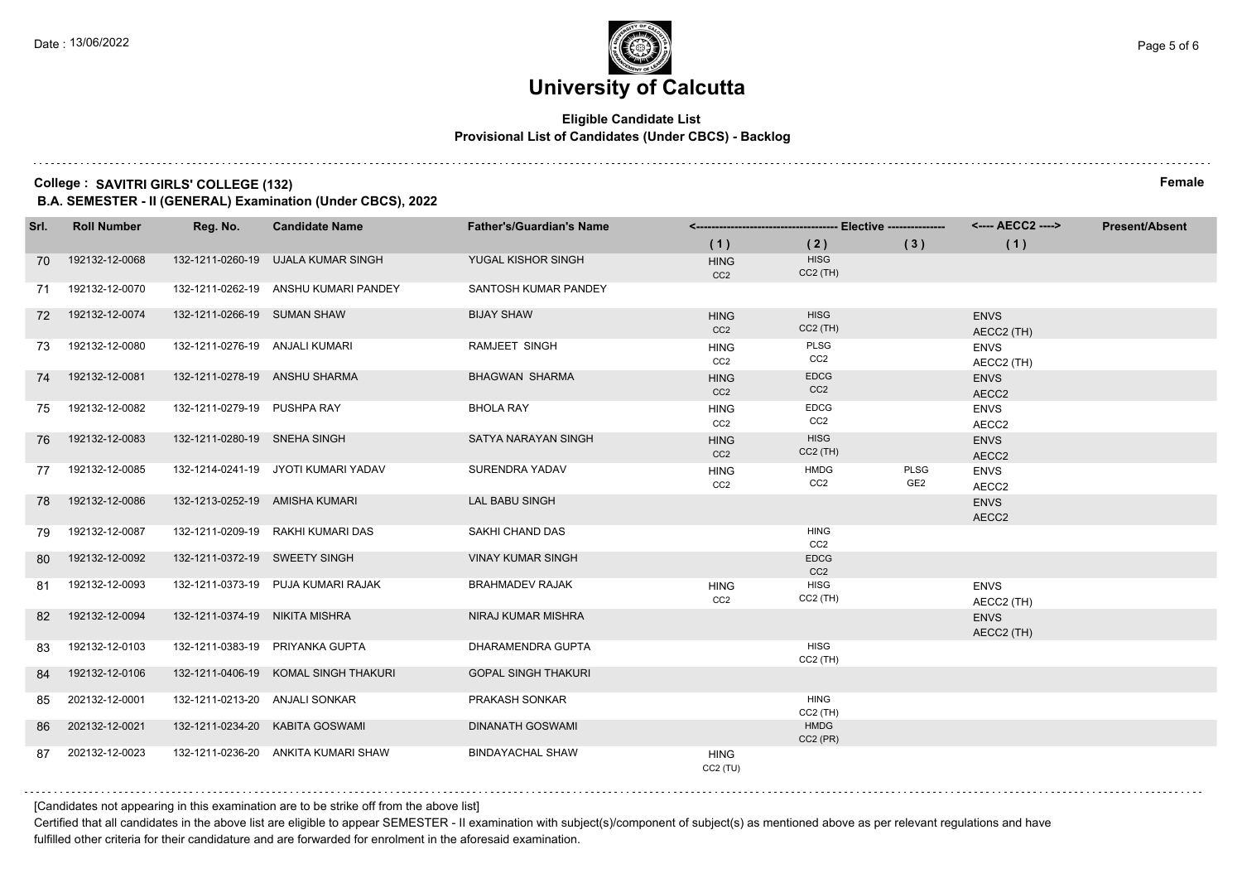### **Eligible Candidate List Provisional List of Candidates (Under CBCS) - Backlog**

#### **College : SAVITRI GIRLS' COLLEGE (132) Female**

**B.A. SEMESTER - II (GENERAL) Examination (Under CBCS), 2022**

| Srl. | <b>Roll Number</b> | Reg. No.                       | <b>Candidate Name</b>                | <b>Father's/Guardian's Name</b> |                                |                                |                                |                           | <b>Present/Absent</b> |
|------|--------------------|--------------------------------|--------------------------------------|---------------------------------|--------------------------------|--------------------------------|--------------------------------|---------------------------|-----------------------|
|      |                    |                                |                                      |                                 | (1)                            | (2)                            | (3)                            | (1)                       |                       |
| 70   | 192132-12-0068     |                                | 132-1211-0260-19 UJALA KUMAR SINGH   | YUGAL KISHOR SINGH              | <b>HING</b><br>CC <sub>2</sub> | <b>HISG</b><br>$CC2$ (TH)      |                                |                           |                       |
| 71   | 192132-12-0070     |                                | 132-1211-0262-19 ANSHU KUMARI PANDEY | SANTOSH KUMAR PANDEY            |                                |                                |                                |                           |                       |
| 72   | 192132-12-0074     | 132-1211-0266-19 SUMAN SHAW    |                                      | <b>BIJAY SHAW</b>               | <b>HING</b><br>CC <sub>2</sub> | <b>HISG</b><br>$CC2$ (TH)      |                                | <b>ENVS</b><br>AECC2 (TH) |                       |
| 73.  | 192132-12-0080     | 132-1211-0276-19 ANJALI KUMARI |                                      | <b>RAMJEET SINGH</b>            | <b>HING</b><br>CC <sub>2</sub> | PLSG<br>CC <sub>2</sub>        |                                | <b>ENVS</b><br>AECC2 (TH) |                       |
| 74   | 192132-12-0081     | 132-1211-0278-19 ANSHU SHARMA  |                                      | <b>BHAGWAN SHARMA</b>           | <b>HING</b><br>CC <sub>2</sub> | <b>EDCG</b><br>CC <sub>2</sub> |                                | <b>ENVS</b><br>AECC2      |                       |
| 75   | 192132-12-0082     | 132-1211-0279-19 PUSHPA RAY    |                                      | <b>BHOLA RAY</b>                | <b>HING</b><br>CC2             | <b>EDCG</b><br>CC2             |                                | <b>ENVS</b><br>AECC2      |                       |
| 76   | 192132-12-0083     | 132-1211-0280-19 SNEHA SINGH   |                                      | SATYA NARAYAN SINGH             | <b>HING</b><br>CC2             | <b>HISG</b><br>$CC2$ (TH)      |                                | <b>ENVS</b><br>AECC2      |                       |
| 77   | 192132-12-0085     |                                | 132-1214-0241-19 JYOTI KUMARI YADAV  | SURENDRA YADAV                  | <b>HING</b><br>CC <sub>2</sub> | <b>HMDG</b><br>CC <sub>2</sub> | <b>PLSG</b><br>GE <sub>2</sub> | <b>ENVS</b><br>AECC2      |                       |
| 78   | 192132-12-0086     | 132-1213-0252-19 AMISHA KUMARI |                                      | LAL BABU SINGH                  |                                |                                |                                | <b>ENVS</b><br>AECC2      |                       |
| 79   | 192132-12-0087     |                                | 132-1211-0209-19 RAKHI KUMARI DAS    | SAKHI CHAND DAS                 |                                | <b>HING</b><br>CC <sub>2</sub> |                                |                           |                       |
| 80   | 192132-12-0092     | 132-1211-0372-19 SWEETY SINGH  |                                      | <b>VINAY KUMAR SINGH</b>        |                                | <b>EDCG</b><br>CC <sub>2</sub> |                                |                           |                       |
| 81   | 192132-12-0093     |                                | 132-1211-0373-19 PUJA KUMARI RAJAK   | <b>BRAHMADEV RAJAK</b>          | <b>HING</b><br>CC <sub>2</sub> | <b>HISG</b><br>$CC2$ (TH)      |                                | <b>ENVS</b><br>AECC2 (TH) |                       |
| 82   | 192132-12-0094     | 132-1211-0374-19 NIKITA MISHRA |                                      | NIRAJ KUMAR MISHRA              |                                |                                |                                | <b>ENVS</b><br>AECC2 (TH) |                       |
| 83   | 192132-12-0103     |                                | 132-1211-0383-19 PRIYANKA GUPTA      | <b>DHARAMENDRA GUPTA</b>        |                                | <b>HISG</b><br>$CC2$ (TH)      |                                |                           |                       |
| 84   | 192132-12-0106     |                                | 132-1211-0406-19 KOMAL SINGH THAKURI | <b>GOPAL SINGH THAKURI</b>      |                                |                                |                                |                           |                       |
| 85   | 202132-12-0001     | 132-1211-0213-20 ANJALI SONKAR |                                      | <b>PRAKASH SONKAR</b>           |                                | <b>HING</b><br>$CC2$ (TH)      |                                |                           |                       |
| 86   | 202132-12-0021     |                                | 132-1211-0234-20 KABITA GOSWAMI      | <b>DINANATH GOSWAMI</b>         |                                | <b>HMDG</b><br>$CC2$ (PR)      |                                |                           |                       |
| 87   | 202132-12-0023     |                                | 132-1211-0236-20 ANKITA KUMARI SHAW  | <b>BINDAYACHAL SHAW</b>         | <b>HING</b><br>CC2(TU)         |                                |                                |                           |                       |

[Candidates not appearing in this examination are to be strike off from the above list]

Certified that all candidates in the above list are eligible to appear SEMESTER - II examination with subject(s)/component of subject(s) as mentioned above as per relevant regulations and have fulfilled other criteria for their candidature and are forwarded for enrolment in the aforesaid examination.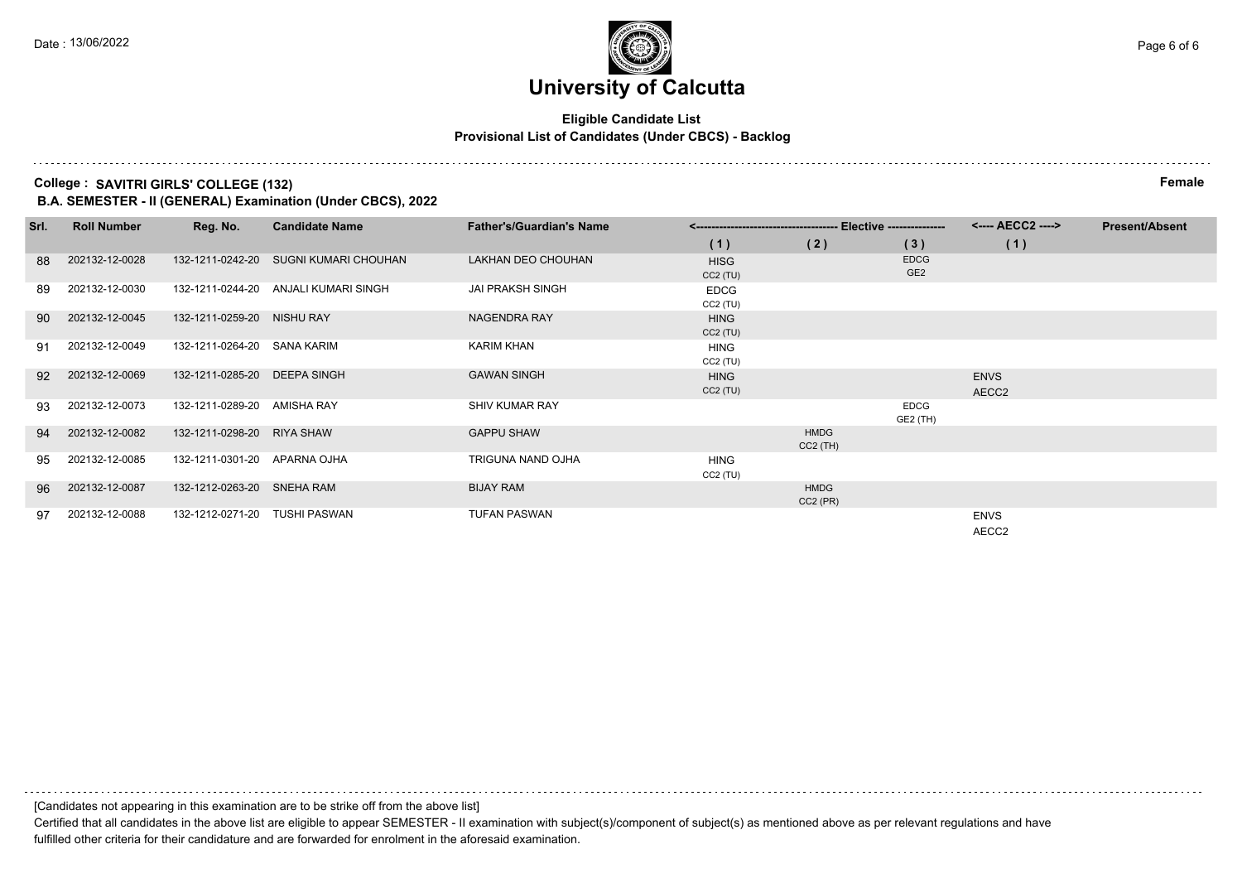### **Eligible Candidate List Provisional List of Candidates (Under CBCS) - Backlog**

#### **College : SAVITRI GIRLS' COLLEGE (132) Female**

**B.A. SEMESTER - II (GENERAL) Examination (Under CBCS), 2022**

| Srl. | <b>Roll Number</b> | Reg. No.                      | <b>Candidate Name</b>                | <b>Father's/Guardian's Name</b> |                           |                           |                                | <---- AECC2 ---->    | <b>Present/Absent</b> |
|------|--------------------|-------------------------------|--------------------------------------|---------------------------------|---------------------------|---------------------------|--------------------------------|----------------------|-----------------------|
|      |                    |                               |                                      |                                 | (1)                       | (2)                       | (3)                            | (1)                  |                       |
| -88  | 202132-12-0028     | 132-1211-0242-20              | <b>SUGNI KUMARI CHOUHAN</b>          | LAKHAN DEO CHOUHAN              | <b>HISG</b><br>CC2(TU)    |                           | <b>EDCG</b><br>GE <sub>2</sub> |                      |                       |
| 89   | 202132-12-0030     |                               | 132-1211-0244-20 ANJALI KUMARI SINGH | <b>JAI PRAKSH SINGH</b>         | <b>EDCG</b><br>CC2(TU)    |                           |                                |                      |                       |
| -90  | 202132-12-0045     | 132-1211-0259-20 NISHU RAY    |                                      | NAGENDRA RAY                    | <b>HING</b><br>$CC2$ (TU) |                           |                                |                      |                       |
| 91   | 202132-12-0049     | 132-1211-0264-20 SANA KARIM   |                                      | <b>KARIM KHAN</b>               | <b>HING</b><br>$CC2$ (TU) |                           |                                |                      |                       |
| 92   | 202132-12-0069     | 132-1211-0285-20 DEEPA SINGH  |                                      | <b>GAWAN SINGH</b>              | <b>HING</b><br>CC2(TU)    |                           |                                | <b>ENVS</b><br>AECC2 |                       |
| 93   | 202132-12-0073     | 132-1211-0289-20 AMISHA RAY   |                                      | <b>SHIV KUMAR RAY</b>           |                           |                           | <b>EDCG</b><br>GE2 (TH)        |                      |                       |
| 94   | 202132-12-0082     | 132-1211-0298-20 RIYA SHAW    |                                      | <b>GAPPU SHAW</b>               |                           | <b>HMDG</b><br>$CC2$ (TH) |                                |                      |                       |
| 95   | 202132-12-0085     | 132-1211-0301-20 APARNA OJHA  |                                      | TRIGUNA NAND OJHA               | <b>HING</b><br>$CC2$ (TU) |                           |                                |                      |                       |
| 96   | 202132-12-0087     | 132-1212-0263-20 SNEHA RAM    |                                      | <b>BIJAY RAM</b>                |                           | <b>HMDG</b><br>$CC2$ (PR) |                                |                      |                       |
| 97   | 202132-12-0088     | 132-1212-0271-20 TUSHI PASWAN |                                      | <b>TUFAN PASWAN</b>             |                           |                           |                                | <b>ENVS</b><br>AECC2 |                       |

[Candidates not appearing in this examination are to be strike off from the above list]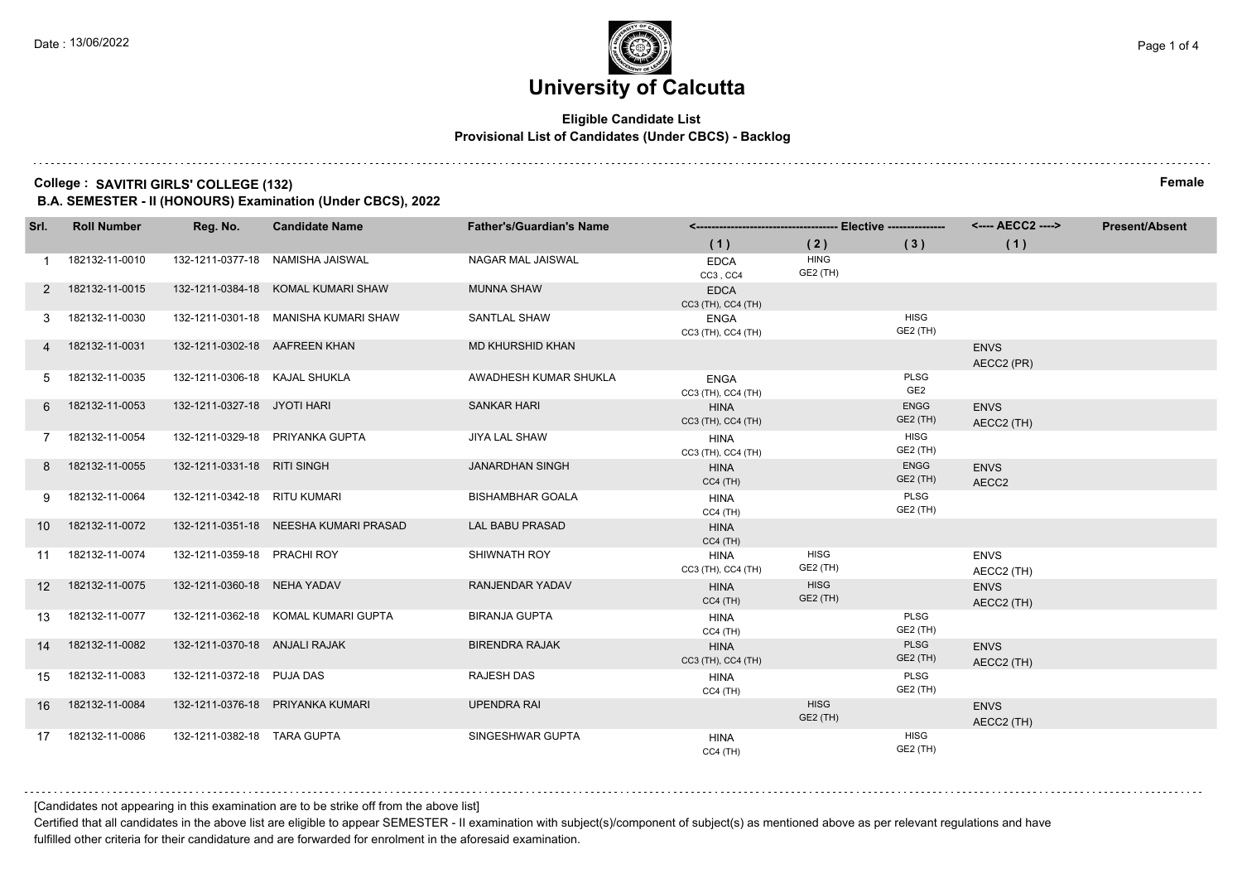### **Eligible Candidate List Provisional List of Candidates (Under CBCS) - Backlog**

#### **College : SAVITRI GIRLS' COLLEGE (132) Female**

**B.A. SEMESTER - II (HONOURS) Examination (Under CBCS), 2022**

| Srl.              | <b>Roll Number</b> | Reg. No.                      | <b>Candidate Name</b>                 | <b>Father's/Guardian's Name</b> |                                   |                         |                         |                           | <b>Present/Absent</b> |
|-------------------|--------------------|-------------------------------|---------------------------------------|---------------------------------|-----------------------------------|-------------------------|-------------------------|---------------------------|-----------------------|
|                   |                    |                               |                                       |                                 | (1)                               | (2)                     | (3)                     | (1)                       |                       |
|                   | 182132-11-0010     |                               | 132-1211-0377-18 NAMISHA JAISWAL      | NAGAR MAL JAISWAL               | <b>EDCA</b><br>CC3, CC4           | <b>HING</b><br>GE2 (TH) |                         |                           |                       |
| 2                 | 182132-11-0015     |                               | 132-1211-0384-18 KOMAL KUMARI SHAW    | <b>MUNNA SHAW</b>               | <b>EDCA</b><br>CC3 (TH), CC4 (TH) |                         |                         |                           |                       |
|                   | 182132-11-0030     |                               | 132-1211-0301-18 MANISHA KUMARI SHAW  | <b>SANTLAL SHAW</b>             | ENGA<br>CC3 (TH), CC4 (TH)        |                         | <b>HISG</b><br>GE2 (TH) |                           |                       |
|                   | 182132-11-0031     | 132-1211-0302-18 AAFREEN KHAN |                                       | <b>MD KHURSHID KHAN</b>         |                                   |                         |                         | <b>ENVS</b><br>AECC2 (PR) |                       |
| 5                 | 182132-11-0035     | 132-1211-0306-18 KAJAL SHUKLA |                                       | AWADHESH KUMAR SHUKLA           | <b>ENGA</b><br>CC3 (TH), CC4 (TH) |                         | PLSG<br>GE <sub>2</sub> |                           |                       |
| 6                 | 182132-11-0053     | 132-1211-0327-18 JYOTI HARI   |                                       | <b>SANKAR HARI</b>              | <b>HINA</b><br>CC3 (TH), CC4 (TH) |                         | <b>ENGG</b><br>GE2 (TH) | <b>ENVS</b><br>AECC2 (TH) |                       |
|                   | 182132-11-0054     |                               | 132-1211-0329-18 PRIYANKA GUPTA       | JIYA LAL SHAW                   | <b>HINA</b><br>CC3 (TH), CC4 (TH) |                         | <b>HISG</b><br>GE2 (TH) |                           |                       |
| 8                 | 182132-11-0055     | 132-1211-0331-18 RITI SINGH   |                                       | <b>JANARDHAN SINGH</b>          | <b>HINA</b><br>$CC4$ (TH)         |                         | <b>ENGG</b><br>GE2 (TH) | <b>ENVS</b><br>AECC2      |                       |
| 9                 | 182132-11-0064     | 132-1211-0342-18 RITU KUMARI  |                                       | <b>BISHAMBHAR GOALA</b>         | <b>HINA</b><br>$CC4$ (TH)         |                         | PLSG<br>GE2 (TH)        |                           |                       |
| 10 <sup>°</sup>   | 182132-11-0072     |                               | 132-1211-0351-18 NEESHA KUMARI PRASAD | <b>LAL BABU PRASAD</b>          | <b>HINA</b><br>$CC4$ (TH)         |                         |                         |                           |                       |
| 11                | 182132-11-0074     | 132-1211-0359-18 PRACHI ROY   |                                       | SHIWNATH ROY                    | <b>HINA</b><br>CC3 (TH), CC4 (TH) | <b>HISG</b><br>GE2 (TH) |                         | <b>ENVS</b><br>AECC2 (TH) |                       |
| $12 \overline{ }$ | 182132-11-0075     | 132-1211-0360-18 NEHA YADAV   |                                       | RANJENDAR YADAV                 | <b>HINA</b><br>$CC4$ (TH)         | <b>HISG</b><br>GE2 (TH) |                         | <b>ENVS</b><br>AECC2 (TH) |                       |
| 13                | 182132-11-0077     |                               | 132-1211-0362-18 KOMAL KUMARI GUPTA   | <b>BIRANJA GUPTA</b>            | <b>HINA</b><br>$CC4$ (TH)         |                         | PLSG<br>GE2 (TH)        |                           |                       |
| 14                | 182132-11-0082     | 132-1211-0370-18 ANJALI RAJAK |                                       | <b>BIRENDRA RAJAK</b>           | <b>HINA</b><br>CC3 (TH), CC4 (TH) |                         | <b>PLSG</b><br>GE2 (TH) | <b>ENVS</b><br>AECC2 (TH) |                       |
| 15                | 182132-11-0083     | 132-1211-0372-18 PUJA DAS     |                                       | RAJESH DAS                      | <b>HINA</b><br>$CC4$ (TH)         |                         | PLSG<br>GE2 (TH)        |                           |                       |
| 16                | 182132-11-0084     |                               | 132-1211-0376-18 PRIYANKA KUMARI      | <b>UPENDRA RAI</b>              |                                   | <b>HISG</b><br>GE2 (TH) |                         | <b>ENVS</b><br>AECC2 (TH) |                       |
| 17                | 182132-11-0086     | 132-1211-0382-18 TARA GUPTA   |                                       | SINGESHWAR GUPTA                | <b>HINA</b><br>$CC4$ (TH)         |                         | HISG<br>GE2 (TH)        |                           |                       |

[Candidates not appearing in this examination are to be strike off from the above list]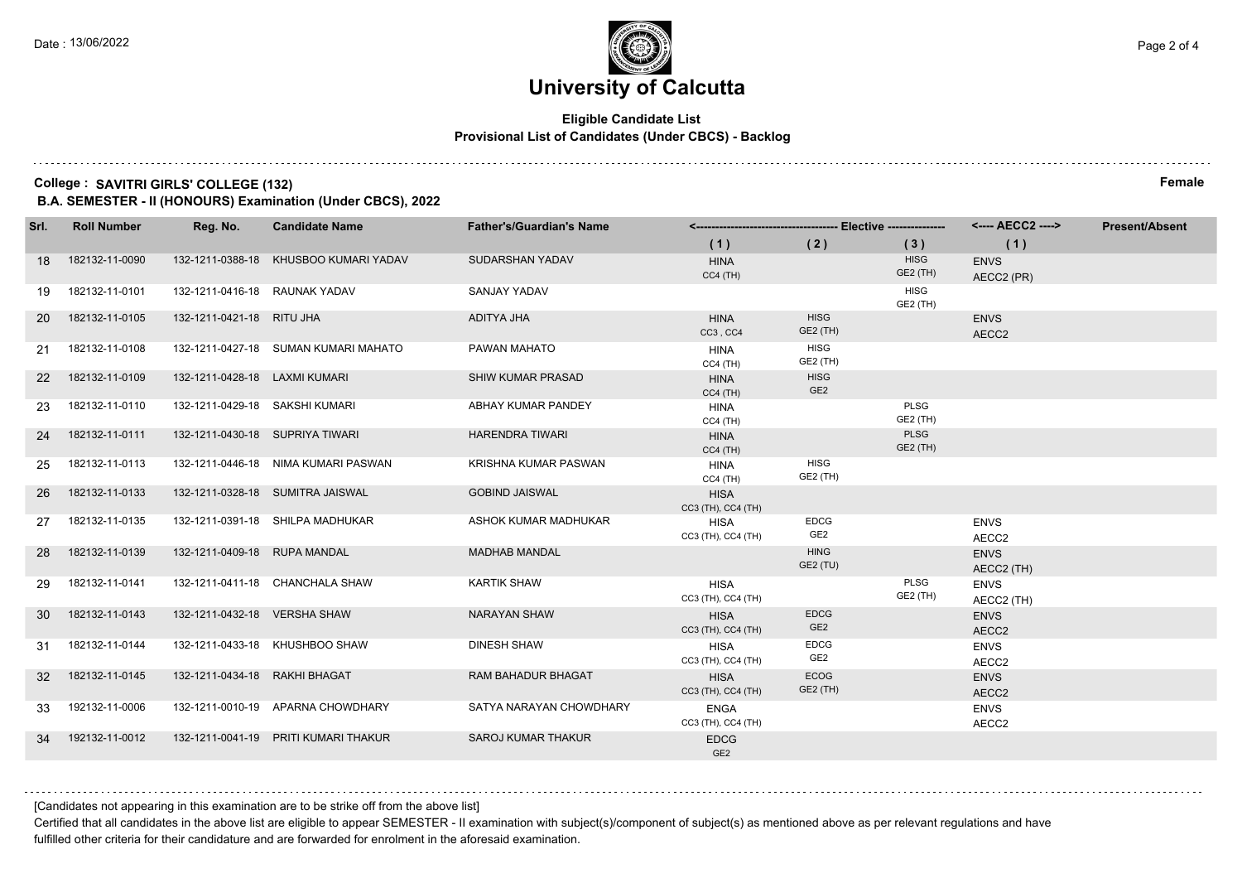### **Eligible Candidate List Provisional List of Candidates (Under CBCS) - Backlog**

#### **College : SAVITRI GIRLS' COLLEGE (132) Female**

**B.A. SEMESTER - II (HONOURS) Examination (Under CBCS), 2022**

| Srl.      | <b>Roll Number</b> | Reg. No.                        | <b>Candidate Name</b>                 | <b>Father's/Guardian's Name</b> |                                   |                                |                         | <---- AECC2 ---->         | <b>Present/Absent</b> |
|-----------|--------------------|---------------------------------|---------------------------------------|---------------------------------|-----------------------------------|--------------------------------|-------------------------|---------------------------|-----------------------|
|           |                    |                                 |                                       |                                 | (1)                               | (2)                            | (3)                     | (1)                       |                       |
| 18        | 182132-11-0090     |                                 | 132-1211-0388-18 KHUSBOO KUMARI YADAV | <b>SUDARSHAN YADAV</b>          | <b>HINA</b><br>$CC4$ (TH)         |                                | <b>HISG</b><br>GE2 (TH) | <b>ENVS</b><br>AECC2 (PR) |                       |
| 19        | 182132-11-0101     | 132-1211-0416-18 RAUNAK YADAV   |                                       | <b>SANJAY YADAV</b>             |                                   |                                | <b>HISG</b><br>GE2 (TH) |                           |                       |
| <b>20</b> | 182132-11-0105     | 132-1211-0421-18 RITU JHA       |                                       | ADITYA JHA                      | <b>HINA</b><br>CC3, CC4           | <b>HISG</b><br>GE2 (TH)        |                         | <b>ENVS</b><br>AECC2      |                       |
| 21        | 182132-11-0108     |                                 | 132-1211-0427-18 SUMAN KUMARI MAHATO  | PAWAN MAHATO                    | <b>HINA</b><br>CC4 (TH)           | <b>HISG</b><br>GE2 (TH)        |                         |                           |                       |
| 22        | 182132-11-0109     | 132-1211-0428-18 LAXMI KUMARI   |                                       | SHIW KUMAR PRASAD               | <b>HINA</b><br>$CC4$ (TH)         | <b>HISG</b><br>GE <sub>2</sub> |                         |                           |                       |
| 23        | 182132-11-0110     | 132-1211-0429-18 SAKSHI KUMARI  |                                       | ABHAY KUMAR PANDEY              | <b>HINA</b><br>$CC4$ (TH)         |                                | <b>PLSG</b><br>GE2 (TH) |                           |                       |
| 24        | 182132-11-0111     | 132-1211-0430-18 SUPRIYA TIWARI |                                       | <b>HARENDRA TIWARI</b>          | <b>HINA</b><br>$CC4$ (TH)         |                                | <b>PLSG</b><br>GE2 (TH) |                           |                       |
| 25        | 182132-11-0113     |                                 | 132-1211-0446-18 NIMA KUMARI PASWAN   | KRISHNA KUMAR PASWAN            | <b>HINA</b><br>$CC4$ (TH)         | <b>HISG</b><br>GE2 (TH)        |                         |                           |                       |
| 26        | 182132-11-0133     |                                 | 132-1211-0328-18 SUMITRA JAISWAL      | <b>GOBIND JAISWAL</b>           | <b>HISA</b><br>CC3 (TH), CC4 (TH) |                                |                         |                           |                       |
| 27        | 182132-11-0135     |                                 | 132-1211-0391-18 SHILPA MADHUKAR      | ASHOK KUMAR MADHUKAR            | <b>HISA</b><br>CC3 (TH), CC4 (TH) | <b>EDCG</b><br>GE <sub>2</sub> |                         | <b>ENVS</b><br>AECC2      |                       |
| 28        | 182132-11-0139     | 132-1211-0409-18 RUPA MANDAL    |                                       | <b>MADHAB MANDAL</b>            |                                   | <b>HING</b><br>GE2 (TU)        |                         | <b>ENVS</b><br>AECC2 (TH) |                       |
| 29        | 182132-11-0141     |                                 | 132-1211-0411-18 CHANCHALA SHAW       | <b>KARTIK SHAW</b>              | <b>HISA</b><br>CC3 (TH), CC4 (TH) |                                | PLSG<br>GE2 (TH)        | <b>ENVS</b><br>AECC2 (TH) |                       |
| 30        | 182132-11-0143     | 132-1211-0432-18 VERSHA SHAW    |                                       | <b>NARAYAN SHAW</b>             | <b>HISA</b><br>CC3 (TH), CC4 (TH) | <b>EDCG</b><br>GE <sub>2</sub> |                         | <b>ENVS</b><br>AECC2      |                       |
| 31        | 182132-11-0144     |                                 | 132-1211-0433-18 KHUSHBOO SHAW        | <b>DINESH SHAW</b>              | <b>HISA</b><br>CC3 (TH), CC4 (TH) | <b>EDCG</b><br>GE <sub>2</sub> |                         | <b>ENVS</b><br>AECC2      |                       |
| 32        | 182132-11-0145     | 132-1211-0434-18 RAKHI BHAGAT   |                                       | <b>RAM BAHADUR BHAGAT</b>       | <b>HISA</b><br>CC3 (TH), CC4 (TH) | ECOG<br>GE2 (TH)               |                         | <b>ENVS</b><br>AECC2      |                       |
| 33        | 192132-11-0006     |                                 | 132-1211-0010-19 APARNA CHOWDHARY     | SATYA NARAYAN CHOWDHARY         | <b>ENGA</b><br>CC3 (TH), CC4 (TH) |                                |                         | <b>ENVS</b><br>AECC2      |                       |
| 34        | 192132-11-0012     |                                 | 132-1211-0041-19 PRITI KUMARI THAKUR  | <b>SAROJ KUMAR THAKUR</b>       | <b>EDCG</b><br>GE <sub>2</sub>    |                                |                         |                           |                       |

[Candidates not appearing in this examination are to be strike off from the above list]

Certified that all candidates in the above list are eligible to appear SEMESTER - II examination with subject(s)/component of subject(s) as mentioned above as per relevant regulations and have fulfilled other criteria for their candidature and are forwarded for enrolment in the aforesaid examination.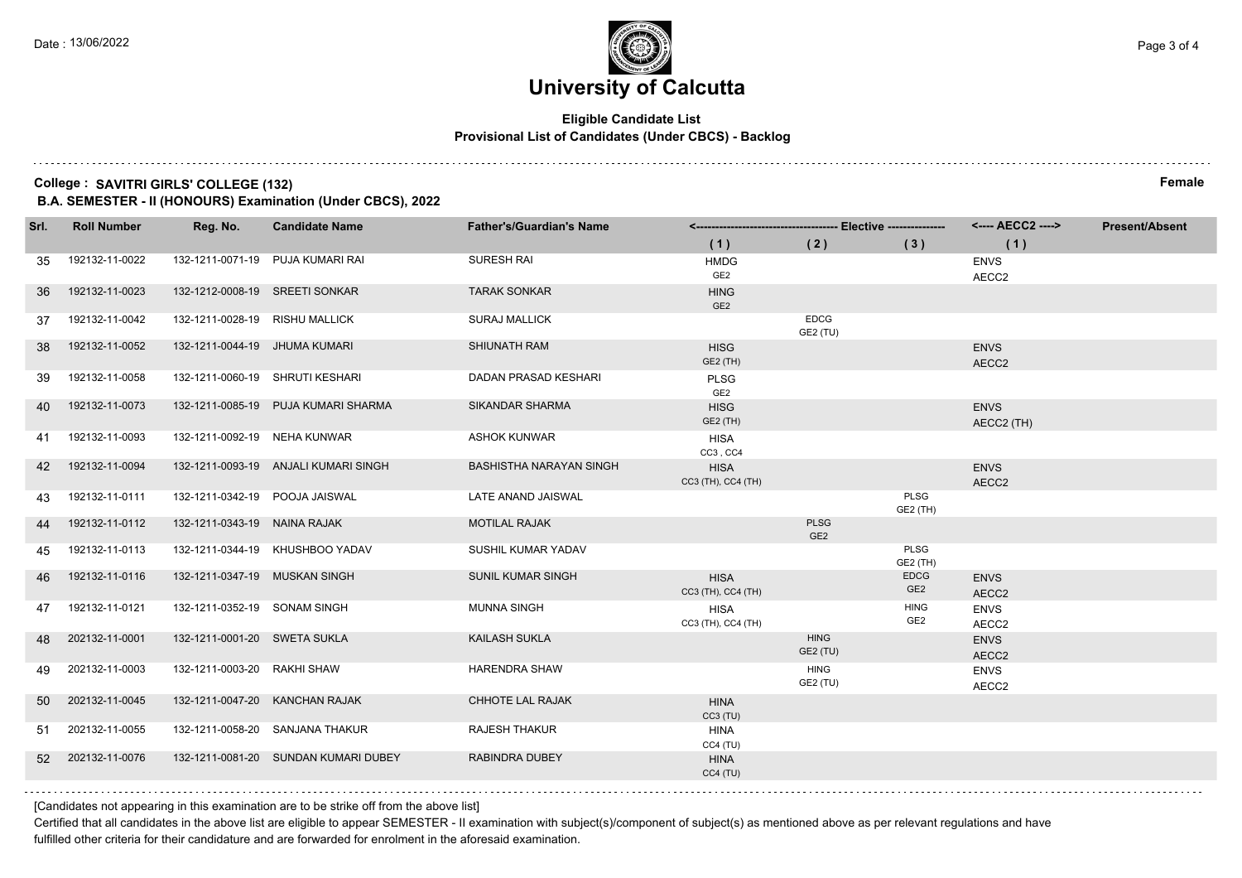### **Eligible Candidate List Provisional List of Candidates (Under CBCS) - Backlog**

#### **College : SAVITRI GIRLS' COLLEGE (132) Female**

**B.A. SEMESTER - II (HONOURS) Examination (Under CBCS), 2022**

| Srl. | <b>Roll Number</b> | Reg. No.                       | <b>Candidate Name</b>                | <b>Father's/Guardian's Name</b> |                                   |                                |                                | <---- AECC2 ---->         | <b>Present/Absent</b> |
|------|--------------------|--------------------------------|--------------------------------------|---------------------------------|-----------------------------------|--------------------------------|--------------------------------|---------------------------|-----------------------|
|      |                    |                                |                                      |                                 | (1)                               | (2)                            | (3)                            | (1)                       |                       |
| 35   | 192132-11-0022     |                                | 132-1211-0071-19 PUJA KUMARI RAI     | <b>SURESH RAI</b>               | <b>HMDG</b><br>GE2                |                                |                                | <b>ENVS</b><br>AECC2      |                       |
| 36   | 192132-11-0023     |                                | 132-1212-0008-19 SREETI SONKAR       | <b>TARAK SONKAR</b>             | <b>HING</b><br>GE <sub>2</sub>    |                                |                                |                           |                       |
| 37   | 192132-11-0042     | 132-1211-0028-19 RISHU MALLICK |                                      | <b>SURAJ MALLICK</b>            |                                   | <b>EDCG</b><br>GE2 (TU)        |                                |                           |                       |
| 38   | 192132-11-0052     | 132-1211-0044-19 JHUMA KUMARI  |                                      | SHIUNATH RAM                    | <b>HISG</b><br>GE2 (TH)           |                                |                                | <b>ENVS</b><br>AECC2      |                       |
| 39   | 192132-11-0058     |                                | 132-1211-0060-19 SHRUTI KESHARI      | DADAN PRASAD KESHARI            | <b>PLSG</b><br>GE <sub>2</sub>    |                                |                                |                           |                       |
| 40   | 192132-11-0073     |                                | 132-1211-0085-19 PUJA KUMARI SHARMA  | <b>SIKANDAR SHARMA</b>          | <b>HISG</b><br>GE2 (TH)           |                                |                                | <b>ENVS</b><br>AECC2 (TH) |                       |
| 41   | 192132-11-0093     | 132-1211-0092-19 NEHA KUNWAR   |                                      | <b>ASHOK KUNWAR</b>             | <b>HISA</b><br>CC3, CC4           |                                |                                |                           |                       |
| 42   | 192132-11-0094     |                                | 132-1211-0093-19 ANJALI KUMARI SINGH | <b>BASHISTHA NARAYAN SINGH</b>  | <b>HISA</b><br>CC3 (TH), CC4 (TH) |                                |                                | <b>ENVS</b><br>AECC2      |                       |
| 43   | 192132-11-0111     | 132-1211-0342-19               | POOJA JAISWAL                        | LATE ANAND JAISWAL              |                                   |                                | <b>PLSG</b><br>GE2 (TH)        |                           |                       |
| -44  | 192132-11-0112     | 132-1211-0343-19 NAINA RAJAK   |                                      | <b>MOTILAL RAJAK</b>            |                                   | <b>PLSG</b><br>GE <sub>2</sub> |                                |                           |                       |
| 45   | 192132-11-0113     |                                | 132-1211-0344-19 KHUSHBOO YADAV      | SUSHIL KUMAR YADAV              |                                   |                                | <b>PLSG</b><br>GE2 (TH)        |                           |                       |
| 46   | 192132-11-0116     | 132-1211-0347-19 MUSKAN SINGH  |                                      | <b>SUNIL KUMAR SINGH</b>        | <b>HISA</b><br>CC3 (TH), CC4 (TH) |                                | <b>EDCG</b><br>GE <sub>2</sub> | <b>ENVS</b><br>AECC2      |                       |
| 47   | 192132-11-0121     | 132-1211-0352-19 SONAM SINGH   |                                      | <b>MUNNA SINGH</b>              | <b>HISA</b><br>CC3 (TH), CC4 (TH) |                                | <b>HING</b><br>GE <sub>2</sub> | <b>ENVS</b><br>AECC2      |                       |
| -48  | 202132-11-0001     | 132-1211-0001-20 SWETA SUKLA   |                                      | <b>KAILASH SUKLA</b>            |                                   | <b>HING</b><br>GE2 (TU)        |                                | <b>ENVS</b><br>AECC2      |                       |
| 49   | 202132-11-0003     | 132-1211-0003-20 RAKHI SHAW    |                                      | <b>HARENDRA SHAW</b>            |                                   | <b>HING</b><br>GE2 (TU)        |                                | <b>ENVS</b><br>AECC2      |                       |
| 50   | 202132-11-0045     |                                | 132-1211-0047-20 KANCHAN RAJAK       | CHHOTE LAL RAJAK                | <b>HINA</b><br>CC3(TU)            |                                |                                |                           |                       |
| 51   | 202132-11-0055     |                                | 132-1211-0058-20 SANJANA THAKUR      | <b>RAJESH THAKUR</b>            | <b>HINA</b><br>CC4(TU)            |                                |                                |                           |                       |
| 52   | 202132-11-0076     |                                | 132-1211-0081-20 SUNDAN KUMARI DUBEY | <b>RABINDRA DUBEY</b>           | <b>HINA</b><br>CC4(TU)            |                                |                                |                           |                       |
|      |                    |                                |                                      |                                 |                                   |                                |                                |                           |                       |

[Candidates not appearing in this examination are to be strike off from the above list]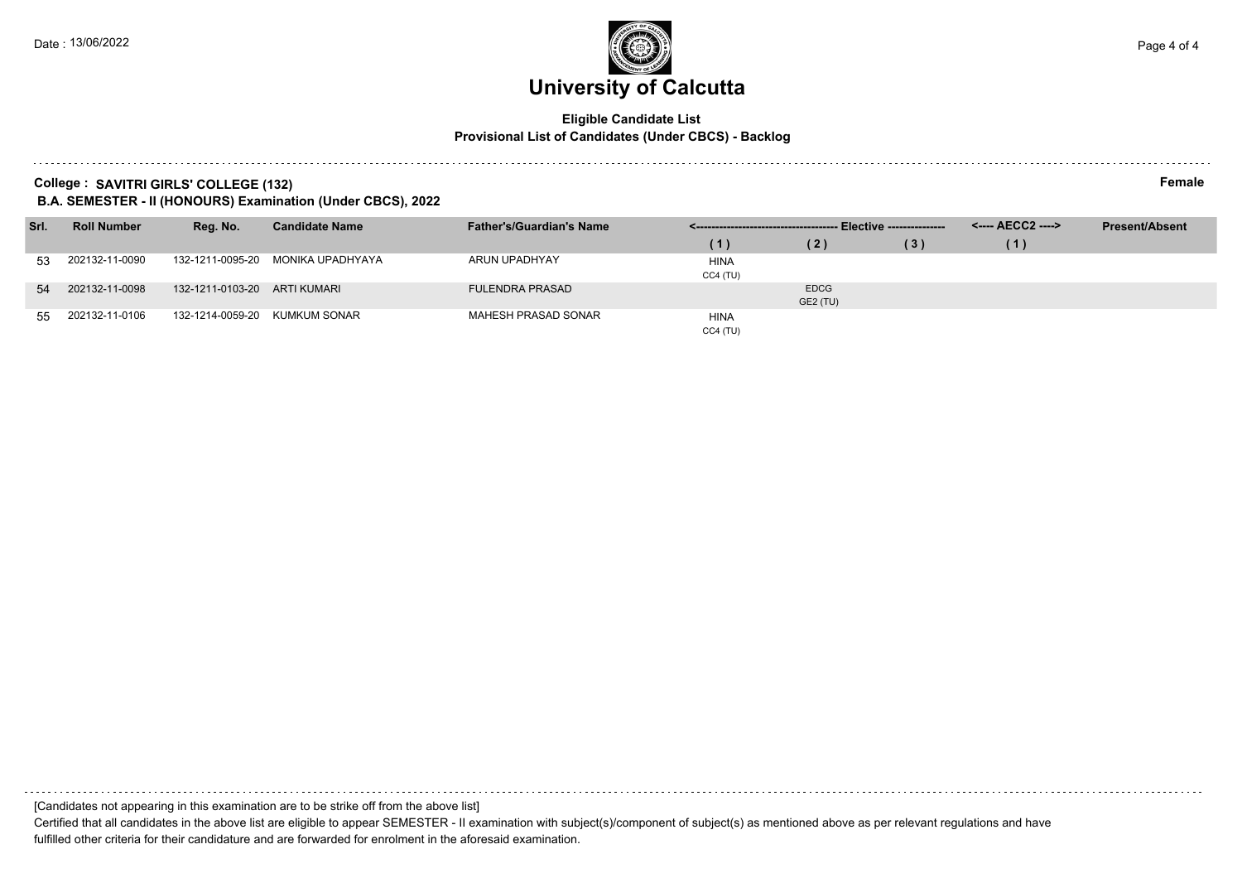### **Eligible Candidate List Provisional List of Candidates (Under CBCS) - Backlog**

**College : SAVITRI GIRLS' COLLEGE (132) Female**

**B.A. SEMESTER - II (HONOURS) Examination (Under CBCS), 2022**

| Srl. | <b>Roll Number</b> | Reg. No.                     | <b>Candidate Name</b> | <b>Father's/Guardian's Name</b> |             |             |     |     | <b>Present/Absent</b> |
|------|--------------------|------------------------------|-----------------------|---------------------------------|-------------|-------------|-----|-----|-----------------------|
|      |                    |                              |                       |                                 | (1)         | (2)         | (3) | (1) |                       |
| 53   | 202132-11-0090     | 132-1211-0095-20             | MONIKA UPADHYAYA      | ARUN UPADHYAY                   | <b>HINA</b> |             |     |     |                       |
|      |                    |                              |                       |                                 | $CC4$ (TU)  |             |     |     |                       |
| 54   | 202132-11-0098     | 132-1211-0103-20 ARTI KUMARI |                       | <b>FULENDRA PRASAD</b>          |             | <b>EDCG</b> |     |     |                       |
|      |                    |                              |                       |                                 |             | GE2 (TU)    |     |     |                       |
| 55   | 202132-11-0106     | 132-1214-0059-20             | KUMKUM SONAR          | MAHESH PRASAD SONAR             | <b>HINA</b> |             |     |     |                       |
|      |                    |                              |                       |                                 | CC4(TU)     |             |     |     |                       |

[Candidates not appearing in this examination are to be strike off from the above list] Certified that all candidates in the above list are eligible to appear SEMESTER - II examination with subject(s)/component of subject(s) as mentioned above as per relevant regulations and have fulfilled other criteria for their candidature and are forwarded for enrolment in the aforesaid examination.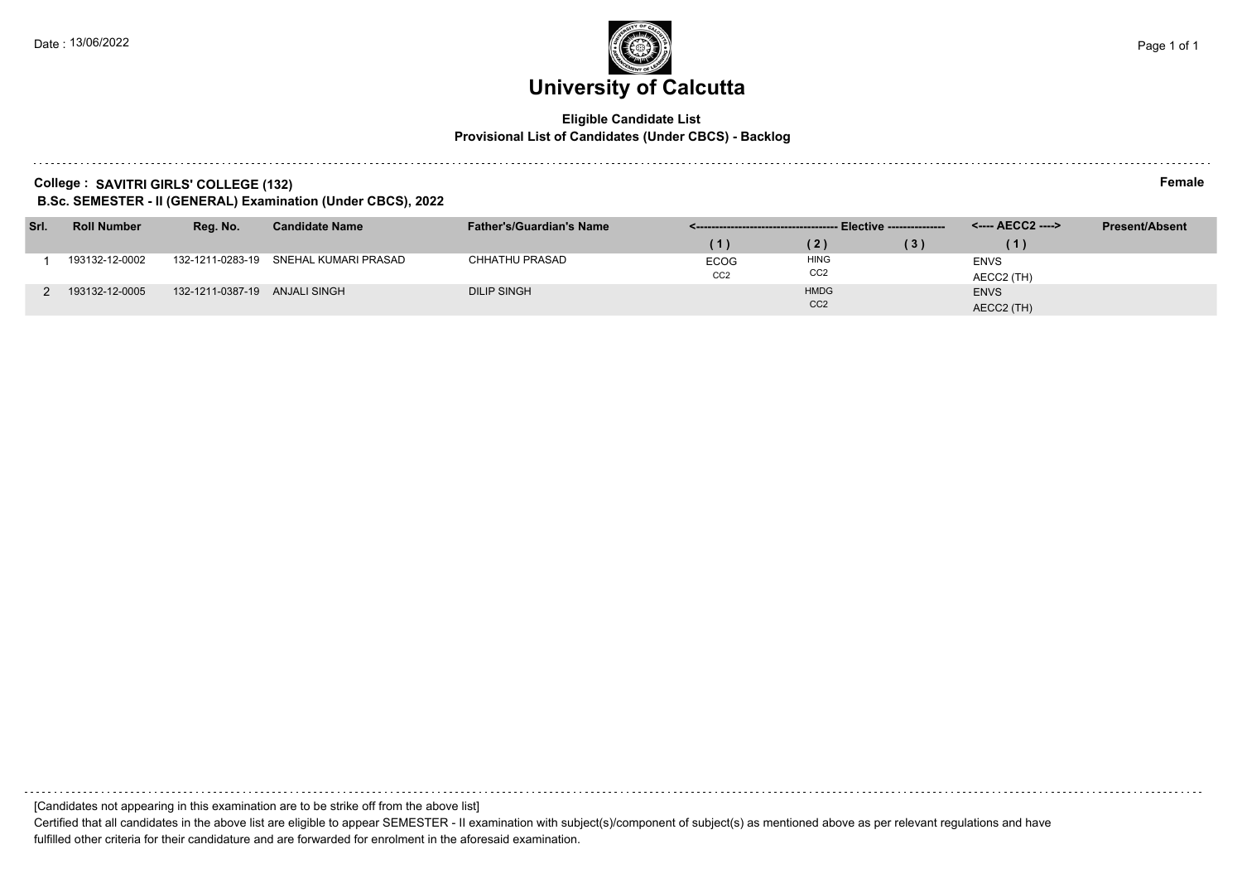### **Eligible Candidate List Provisional List of Candidates (Under CBCS) - Backlog**

**College : SAVITRI GIRLS' COLLEGE (132) Female**

**B.Sc. SEMESTER - II (GENERAL) Examination (Under CBCS), 2022**

| Srl. | <b>Roll Number</b> | Reg. No.                      | <b>Candidate Name</b> | <b>Father's/Guardian's Name</b> |                 |                 |     |             | <b>Present/Absent</b> |
|------|--------------------|-------------------------------|-----------------------|---------------------------------|-----------------|-----------------|-----|-------------|-----------------------|
|      |                    |                               |                       |                                 |                 |                 | (3) |             |                       |
|      | 193132-12-0002     | 132-1211-0283-19              | SNEHAL KUMARI PRASAD  | <b>CHHATHU PRASAD</b>           | <b>ECOG</b>     | <b>HING</b>     |     | <b>ENVS</b> |                       |
|      |                    |                               |                       |                                 | CC <sub>2</sub> | CC <sub>2</sub> |     | AECC2 (TH)  |                       |
|      | 193132-12-0005     | 132-1211-0387-19 ANJALI SINGH |                       | <b>DILIP SINGH</b>              |                 | <b>HMDG</b>     |     | <b>ENVS</b> |                       |
|      |                    |                               |                       |                                 |                 | CC <sub>2</sub> |     | AECC2 (TH)  |                       |

[Candidates not appearing in this examination are to be strike off from the above list]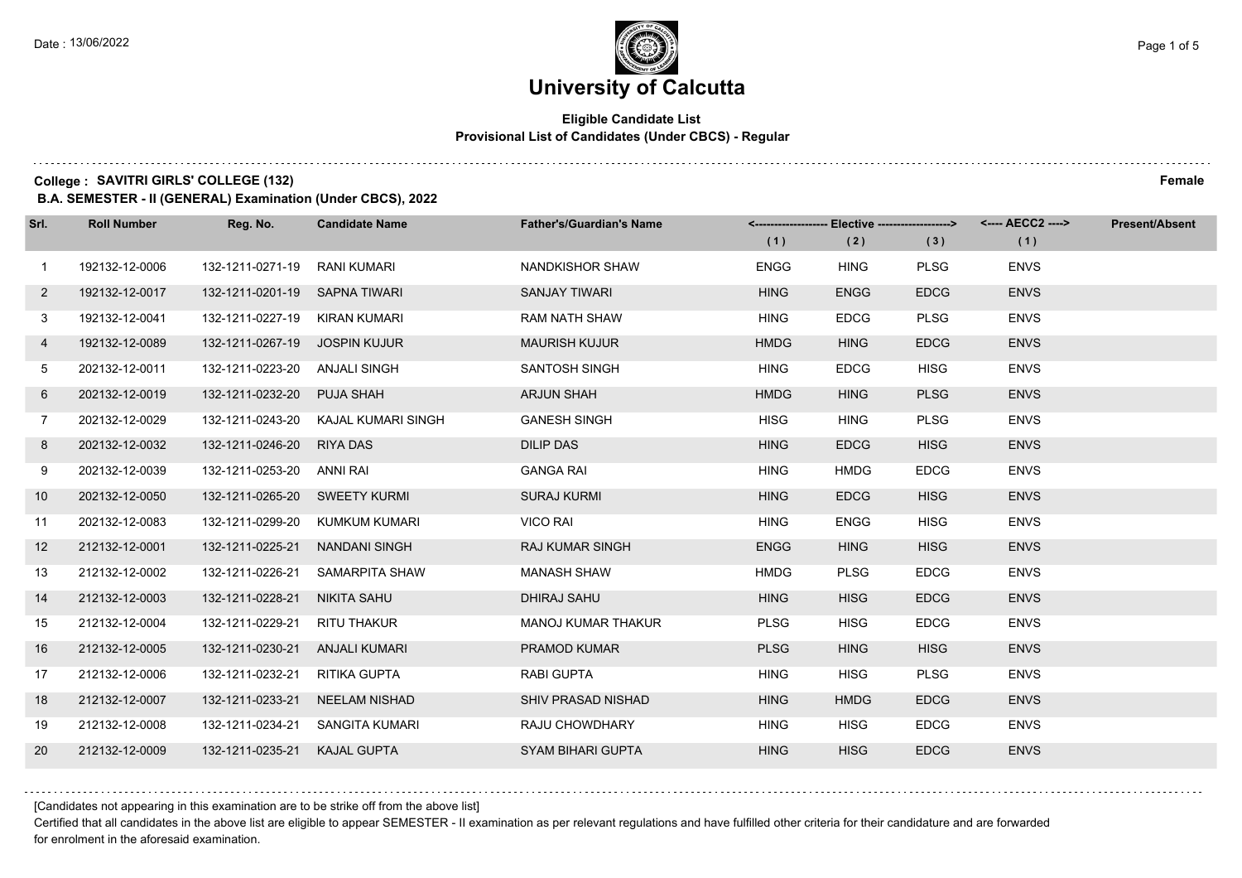### **Eligible Candidate List Provisional List of Candidates (Under CBCS) - Regular**

**College : SAVITRI GIRLS' COLLEGE (132) Female**

**B.A. SEMESTER - II (GENERAL) Examination (Under CBCS), 2022**

| Srl.              | <b>Roll Number</b> | Reg. No.                       | <b>Candidate Name</b>               | <b>Father's/Guardian's Name</b> |             |             |             | <-------------------- Elective -------------------> <---- AECC2 ----> | <b>Present/Absent</b> |
|-------------------|--------------------|--------------------------------|-------------------------------------|---------------------------------|-------------|-------------|-------------|-----------------------------------------------------------------------|-----------------------|
|                   |                    |                                |                                     |                                 | (1)         | (2)         | (3)         | (1)                                                                   |                       |
| $\mathbf{1}$      | 192132-12-0006     | 132-1211-0271-19               | RANI KUMARI                         | NANDKISHOR SHAW                 | <b>ENGG</b> | <b>HING</b> | <b>PLSG</b> | <b>ENVS</b>                                                           |                       |
| $2^{\circ}$       | 192132-12-0017     | 132-1211-0201-19 SAPNA TIWARI  |                                     | <b>SANJAY TIWARI</b>            | <b>HING</b> | <b>ENGG</b> | <b>EDCG</b> | <b>ENVS</b>                                                           |                       |
| 3                 | 192132-12-0041     | 132-1211-0227-19 KIRAN KUMARI  |                                     | <b>RAM NATH SHAW</b>            | <b>HING</b> | <b>EDCG</b> | <b>PLSG</b> | <b>ENVS</b>                                                           |                       |
| 4                 | 192132-12-0089     | 132-1211-0267-19 JOSPIN KUJUR  |                                     | <b>MAURISH KUJUR</b>            | <b>HMDG</b> | <b>HING</b> | <b>EDCG</b> | <b>ENVS</b>                                                           |                       |
| 5                 | 202132-12-0011     | 132-1211-0223-20 ANJALI SINGH  |                                     | <b>SANTOSH SINGH</b>            | <b>HING</b> | <b>EDCG</b> | <b>HISG</b> | <b>ENVS</b>                                                           |                       |
| 6                 | 202132-12-0019     | 132-1211-0232-20               | <b>PUJA SHAH</b>                    | <b>ARJUN SHAH</b>               | <b>HMDG</b> | <b>HING</b> | <b>PLSG</b> | <b>ENVS</b>                                                           |                       |
| $\overline{7}$    | 202132-12-0029     |                                | 132-1211-0243-20 KAJAL KUMARI SINGH | <b>GANESH SINGH</b>             | <b>HISG</b> | <b>HING</b> | <b>PLSG</b> | <b>ENVS</b>                                                           |                       |
| 8                 | 202132-12-0032     | 132-1211-0246-20 RIYA DAS      |                                     | <b>DILIP DAS</b>                | <b>HING</b> | <b>EDCG</b> | <b>HISG</b> | <b>ENVS</b>                                                           |                       |
| 9                 | 202132-12-0039     | 132-1211-0253-20 ANNI RAI      |                                     | <b>GANGA RAI</b>                | <b>HING</b> | <b>HMDG</b> | <b>EDCG</b> | <b>ENVS</b>                                                           |                       |
| 10 <sup>°</sup>   | 202132-12-0050     | 132-1211-0265-20 SWEETY KURMI  |                                     | SURAJ KURMI                     | <b>HING</b> | <b>EDCG</b> | <b>HISG</b> | <b>ENVS</b>                                                           |                       |
| 11                | 202132-12-0083     |                                | 132-1211-0299-20 KUMKUM KUMARI      | VICO RAI                        | <b>HING</b> | <b>ENGG</b> | <b>HISG</b> | <b>ENVS</b>                                                           |                       |
| $12 \overline{ }$ | 212132-12-0001     | 132-1211-0225-21 NANDANI SINGH |                                     | <b>RAJ KUMAR SINGH</b>          | <b>ENGG</b> | <b>HING</b> | <b>HISG</b> | <b>ENVS</b>                                                           |                       |
| 13                | 212132-12-0002     | 132-1211-0226-21               | SAMARPITA SHAW                      | <b>MANASH SHAW</b>              | <b>HMDG</b> | <b>PLSG</b> | <b>EDCG</b> | <b>ENVS</b>                                                           |                       |
| 14                | 212132-12-0003     | 132-1211-0228-21               | NIKITA SAHU                         | <b>DHIRAJ SAHU</b>              | <b>HING</b> | <b>HISG</b> | <b>EDCG</b> | <b>ENVS</b>                                                           |                       |
| 15                | 212132-12-0004     | 132-1211-0229-21               | RITU THAKUR                         | <b>MANOJ KUMAR THAKUR</b>       | <b>PLSG</b> | <b>HISG</b> | <b>EDCG</b> | <b>ENVS</b>                                                           |                       |
| 16                | 212132-12-0005     | 132-1211-0230-21 ANJALI KUMARI |                                     | PRAMOD KUMAR                    | <b>PLSG</b> | <b>HING</b> | <b>HISG</b> | <b>ENVS</b>                                                           |                       |
| 17                | 212132-12-0006     | 132-1211-0232-21               | RITIKA GUPTA                        | <b>RABI GUPTA</b>               | <b>HING</b> | <b>HISG</b> | <b>PLSG</b> | <b>ENVS</b>                                                           |                       |
| 18                | 212132-12-0007     | 132-1211-0233-21               | NEELAM NISHAD                       | SHIV PRASAD NISHAD              | <b>HING</b> | <b>HMDG</b> | <b>EDCG</b> | <b>ENVS</b>                                                           |                       |
| 19                | 212132-12-0008     |                                | 132-1211-0234-21 SANGITA KUMARI     | RAJU CHOWDHARY                  | <b>HING</b> | <b>HISG</b> | <b>EDCG</b> | <b>ENVS</b>                                                           |                       |
| 20                | 212132-12-0009     | 132-1211-0235-21 KAJAL GUPTA   |                                     | <b>SYAM BIHARI GUPTA</b>        | <b>HING</b> | <b>HISG</b> | <b>EDCG</b> | <b>ENVS</b>                                                           |                       |

[Candidates not appearing in this examination are to be strike off from the above list]

Certified that all candidates in the above list are eligible to appear SEMESTER - II examination as per relevant regulations and have fulfilled other criteria for their candidature and are forwarded for enrolment in the aforesaid examination.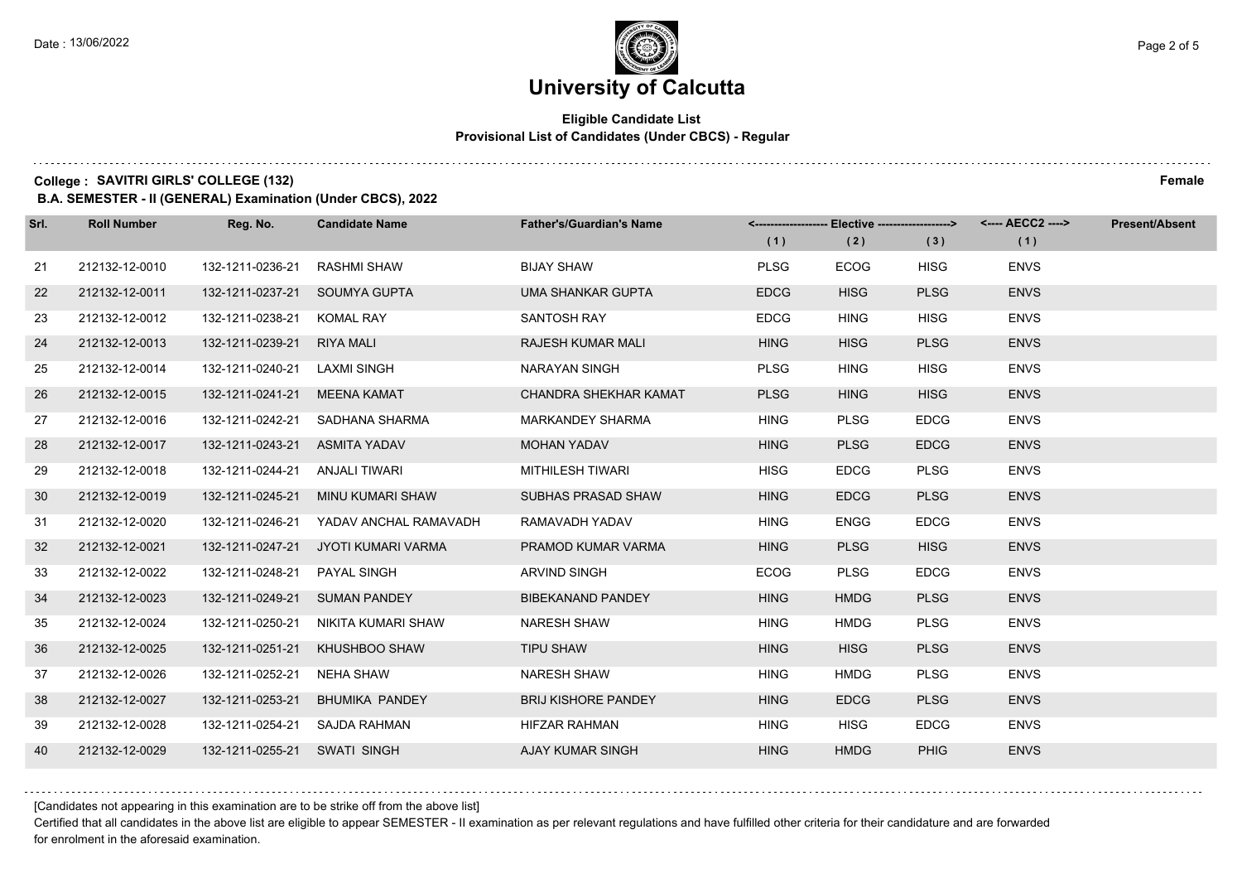### **Eligible Candidate List Provisional List of Candidates (Under CBCS) - Regular**

**College : SAVITRI GIRLS' COLLEGE (132) Female**

**B.A. SEMESTER - II (GENERAL) Examination (Under CBCS), 2022**

| Srl. | <b>Roll Number</b> | Reg. No.                      | <b>Candidate Name</b> | <b>Father's/Guardian's Name</b> |             | <-------------------- Elective ------------------> |             |             | <b>Present/Absent</b> |
|------|--------------------|-------------------------------|-----------------------|---------------------------------|-------------|----------------------------------------------------|-------------|-------------|-----------------------|
|      |                    |                               |                       |                                 | (1)         | (2)                                                | (3)         | (1)         |                       |
| 21   | 212132-12-0010     | 132-1211-0236-21              | <b>RASHMI SHAW</b>    | <b>BIJAY SHAW</b>               | <b>PLSG</b> | <b>ECOG</b>                                        | <b>HISG</b> | <b>ENVS</b> |                       |
| 22   | 212132-12-0011     | 132-1211-0237-21              | SOUMYA GUPTA          | UMA SHANKAR GUPTA               | <b>EDCG</b> | <b>HISG</b>                                        | <b>PLSG</b> | <b>ENVS</b> |                       |
| 23   | 212132-12-0012     | 132-1211-0238-21              | <b>KOMAL RAY</b>      | <b>SANTOSH RAY</b>              | <b>EDCG</b> | <b>HING</b>                                        | <b>HISG</b> | <b>ENVS</b> |                       |
| 24   | 212132-12-0013     | 132-1211-0239-21              | <b>RIYA MALI</b>      | RAJESH KUMAR MALI               | <b>HING</b> | <b>HISG</b>                                        | <b>PLSG</b> | <b>ENVS</b> |                       |
| 25   | 212132-12-0014     | 132-1211-0240-21              | LAXMI SINGH           | NARAYAN SINGH                   | <b>PLSG</b> | <b>HING</b>                                        | <b>HISG</b> | <b>ENVS</b> |                       |
| 26   | 212132-12-0015     | 132-1211-0241-21              | MEENA KAMAT           | CHANDRA SHEKHAR KAMAT           | <b>PLSG</b> | <b>HING</b>                                        | <b>HISG</b> | <b>ENVS</b> |                       |
| 27   | 212132-12-0016     | 132-1211-0242-21              | SADHANA SHARMA        | <b>MARKANDEY SHARMA</b>         | <b>HING</b> | <b>PLSG</b>                                        | <b>EDCG</b> | <b>ENVS</b> |                       |
| 28   | 212132-12-0017     | 132-1211-0243-21 ASMITA YADAV |                       | <b>MOHAN YADAV</b>              | <b>HING</b> | <b>PLSG</b>                                        | <b>EDCG</b> | <b>ENVS</b> |                       |
| 29   | 212132-12-0018     | 132-1211-0244-21              | ANJALI TIWARI         | <b>MITHILESH TIWARI</b>         | <b>HISG</b> | <b>EDCG</b>                                        | <b>PLSG</b> | <b>ENVS</b> |                       |
| 30   | 212132-12-0019     | 132-1211-0245-21              | MINU KUMARI SHAW      | SUBHAS PRASAD SHAW              | <b>HING</b> | <b>EDCG</b>                                        | <b>PLSG</b> | <b>ENVS</b> |                       |
| 31   | 212132-12-0020     | 132-1211-0246-21              | YADAV ANCHAL RAMAVADH | RAMAVADH YADAV                  | <b>HING</b> | ENGG                                               | <b>EDCG</b> | <b>ENVS</b> |                       |
| 32   | 212132-12-0021     | 132-1211-0247-21              | JYOTI KUMARI VARMA    | PRAMOD KUMAR VARMA              | <b>HING</b> | <b>PLSG</b>                                        | <b>HISG</b> | <b>ENVS</b> |                       |
| 33   | 212132-12-0022     | 132-1211-0248-21              | <b>PAYAL SINGH</b>    | <b>ARVIND SINGH</b>             | <b>ECOG</b> | <b>PLSG</b>                                        | <b>EDCG</b> | <b>ENVS</b> |                       |
| 34   | 212132-12-0023     | 132-1211-0249-21              | <b>SUMAN PANDEY</b>   | <b>BIBEKANAND PANDEY</b>        | <b>HING</b> | <b>HMDG</b>                                        | <b>PLSG</b> | <b>ENVS</b> |                       |
| 35   | 212132-12-0024     | 132-1211-0250-21              | NIKITA KUMARI SHAW    | <b>NARESH SHAW</b>              | <b>HING</b> | <b>HMDG</b>                                        | <b>PLSG</b> | <b>ENVS</b> |                       |
| 36   | 212132-12-0025     | 132-1211-0251-21              | KHUSHBOO SHAW         | <b>TIPU SHAW</b>                | <b>HING</b> | <b>HISG</b>                                        | <b>PLSG</b> | <b>ENVS</b> |                       |
| 37   | 212132-12-0026     | 132-1211-0252-21              | <b>NEHA SHAW</b>      | <b>NARESH SHAW</b>              | <b>HING</b> | <b>HMDG</b>                                        | <b>PLSG</b> | <b>ENVS</b> |                       |
| 38   | 212132-12-0027     | 132-1211-0253-21              | <b>BHUMIKA PANDEY</b> | <b>BRIJ KISHORE PANDEY</b>      | <b>HING</b> | <b>EDCG</b>                                        | <b>PLSG</b> | <b>ENVS</b> |                       |
| 39   | 212132-12-0028     | 132-1211-0254-21              | SAJDA RAHMAN          | HIFZAR RAHMAN                   | <b>HING</b> | <b>HISG</b>                                        | <b>EDCG</b> | <b>ENVS</b> |                       |
| 40   | 212132-12-0029     | 132-1211-0255-21 SWATI SINGH  |                       | AJAY KUMAR SINGH                | <b>HING</b> | <b>HMDG</b>                                        | <b>PHIG</b> | <b>ENVS</b> |                       |

[Candidates not appearing in this examination are to be strike off from the above list]

Certified that all candidates in the above list are eligible to appear SEMESTER - II examination as per relevant regulations and have fulfilled other criteria for their candidature and are forwarded for enrolment in the aforesaid examination.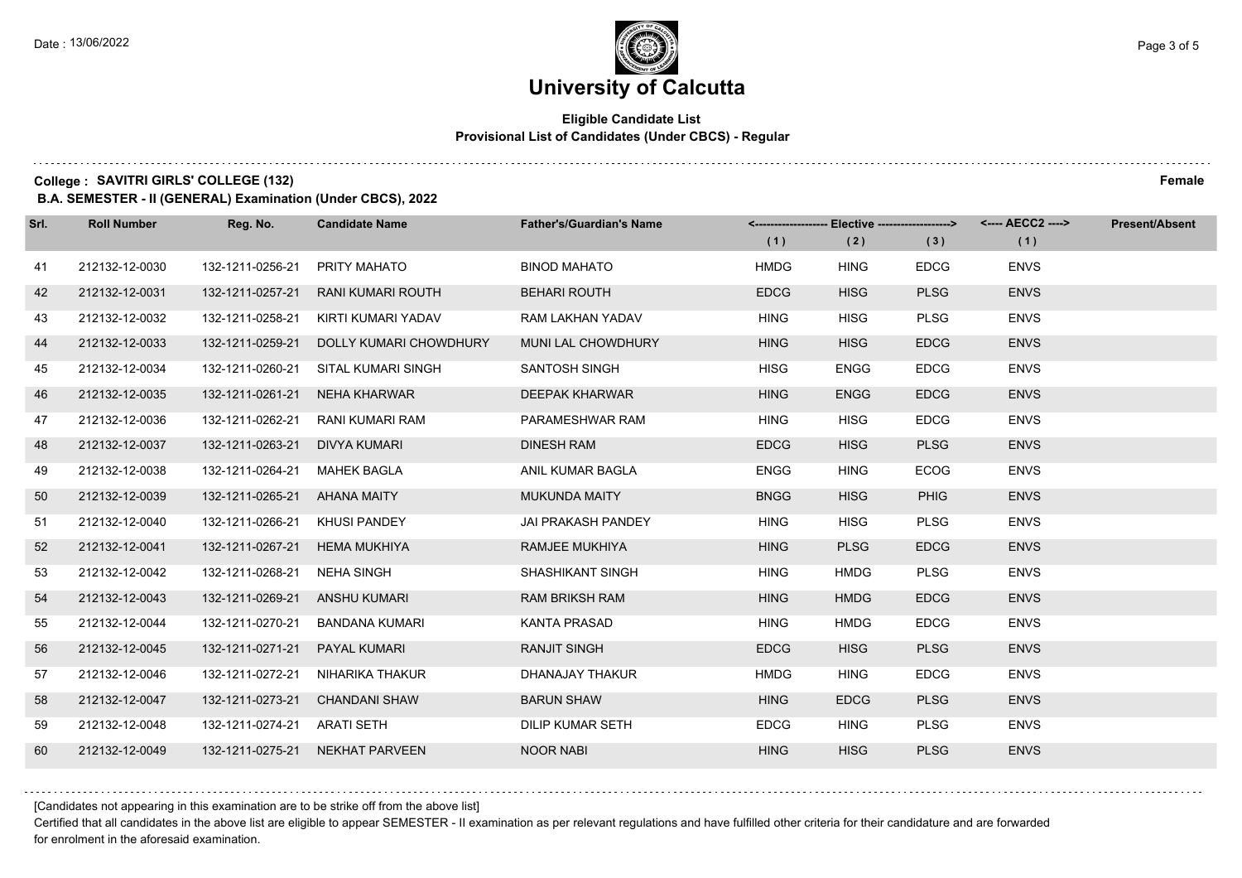### **Eligible Candidate List Provisional List of Candidates (Under CBCS) - Regular**

**College : SAVITRI GIRLS' COLLEGE (132) Female**

**B.A. SEMESTER - II (GENERAL) Examination (Under CBCS), 2022**

| Srl. | <b>Roll Number</b> | Reg. No.         | <b>Candidate Name</b>    | <b>Father's/Guardian's Name</b> |             | <-------------------- Elective ------------------> |             |             | <b>Present/Absent</b> |
|------|--------------------|------------------|--------------------------|---------------------------------|-------------|----------------------------------------------------|-------------|-------------|-----------------------|
|      |                    |                  |                          |                                 | (1)         | (2)                                                | (3)         | (1)         |                       |
| 41   | 212132-12-0030     | 132-1211-0256-21 | PRITY MAHATO             | <b>BINOD MAHATO</b>             | <b>HMDG</b> | <b>HING</b>                                        | <b>EDCG</b> | <b>ENVS</b> |                       |
| 42   | 212132-12-0031     | 132-1211-0257-21 | <b>RANI KUMARI ROUTH</b> | <b>BEHARI ROUTH</b>             | <b>EDCG</b> | <b>HISG</b>                                        | <b>PLSG</b> | <b>ENVS</b> |                       |
| 43   | 212132-12-0032     | 132-1211-0258-21 | KIRTI KUMARI YADAV       | RAM LAKHAN YADAV                | <b>HING</b> | <b>HISG</b>                                        | <b>PLSG</b> | <b>ENVS</b> |                       |
| 44   | 212132-12-0033     | 132-1211-0259-21 | DOLLY KUMARI CHOWDHURY   | MUNI LAL CHOWDHURY              | <b>HING</b> | <b>HISG</b>                                        | <b>EDCG</b> | <b>ENVS</b> |                       |
| 45   | 212132-12-0034     | 132-1211-0260-21 | SITAL KUMARI SINGH       | SANTOSH SINGH                   | <b>HISG</b> | <b>ENGG</b>                                        | <b>EDCG</b> | <b>ENVS</b> |                       |
| 46   | 212132-12-0035     | 132-1211-0261-21 | NEHA KHARWAR             | <b>DEEPAK KHARWAR</b>           | <b>HING</b> | <b>ENGG</b>                                        | <b>EDCG</b> | <b>ENVS</b> |                       |
| 47   | 212132-12-0036     | 132-1211-0262-21 | RANI KUMARI RAM          | PARAMESHWAR RAM                 | <b>HING</b> | <b>HISG</b>                                        | <b>EDCG</b> | <b>ENVS</b> |                       |
| 48   | 212132-12-0037     | 132-1211-0263-21 | DIVYA KUMARI             | <b>DINESH RAM</b>               | <b>EDCG</b> | <b>HISG</b>                                        | <b>PLSG</b> | <b>ENVS</b> |                       |
| 49   | 212132-12-0038     | 132-1211-0264-21 | <b>MAHEK BAGLA</b>       | ANIL KUMAR BAGLA                | <b>ENGG</b> | <b>HING</b>                                        | <b>ECOG</b> | <b>ENVS</b> |                       |
| 50   | 212132-12-0039     | 132-1211-0265-21 | <b>AHANA MAITY</b>       | <b>MUKUNDA MAITY</b>            | <b>BNGG</b> | <b>HISG</b>                                        | <b>PHIG</b> | <b>ENVS</b> |                       |
| 51   | 212132-12-0040     | 132-1211-0266-21 | KHUSI PANDEY             | <b>JAI PRAKASH PANDEY</b>       | <b>HING</b> | <b>HISG</b>                                        | <b>PLSG</b> | <b>ENVS</b> |                       |
| 52   | 212132-12-0041     | 132-1211-0267-21 | <b>HEMA MUKHIYA</b>      | RAMJEE MUKHIYA                  | <b>HING</b> | <b>PLSG</b>                                        | <b>EDCG</b> | <b>ENVS</b> |                       |
| 53   | 212132-12-0042     | 132-1211-0268-21 | NEHA SINGH               | <b>SHASHIKANT SINGH</b>         | <b>HING</b> | <b>HMDG</b>                                        | <b>PLSG</b> | <b>ENVS</b> |                       |
| 54   | 212132-12-0043     | 132-1211-0269-21 | ANSHU KUMARI             | <b>RAM BRIKSH RAM</b>           | <b>HING</b> | <b>HMDG</b>                                        | <b>EDCG</b> | <b>ENVS</b> |                       |
| 55   | 212132-12-0044     | 132-1211-0270-21 | <b>BANDANA KUMARI</b>    | <b>KANTA PRASAD</b>             | <b>HING</b> | <b>HMDG</b>                                        | <b>EDCG</b> | <b>ENVS</b> |                       |
| 56   | 212132-12-0045     | 132-1211-0271-21 | <b>PAYAL KUMARI</b>      | <b>RANJIT SINGH</b>             | <b>EDCG</b> | <b>HISG</b>                                        | <b>PLSG</b> | <b>ENVS</b> |                       |
| 57   | 212132-12-0046     | 132-1211-0272-21 | NIHARIKA THAKUR          | DHANAJAY THAKUR                 | <b>HMDG</b> | <b>HING</b>                                        | <b>EDCG</b> | <b>ENVS</b> |                       |
| 58   | 212132-12-0047     | 132-1211-0273-21 | <b>CHANDANI SHAW</b>     | <b>BARUN SHAW</b>               | <b>HING</b> | <b>EDCG</b>                                        | <b>PLSG</b> | <b>ENVS</b> |                       |
| 59   | 212132-12-0048     | 132-1211-0274-21 | ARATI SETH               | DILIP KUMAR SETH                | <b>EDCG</b> | <b>HING</b>                                        | <b>PLSG</b> | <b>ENVS</b> |                       |
| 60   | 212132-12-0049     | 132-1211-0275-21 | <b>NEKHAT PARVEEN</b>    | <b>NOOR NABI</b>                | <b>HING</b> | <b>HISG</b>                                        | <b>PLSG</b> | <b>ENVS</b> |                       |

[Candidates not appearing in this examination are to be strike off from the above list]

Certified that all candidates in the above list are eligible to appear SEMESTER - II examination as per relevant regulations and have fulfilled other criteria for their candidature and are forwarded for enrolment in the aforesaid examination.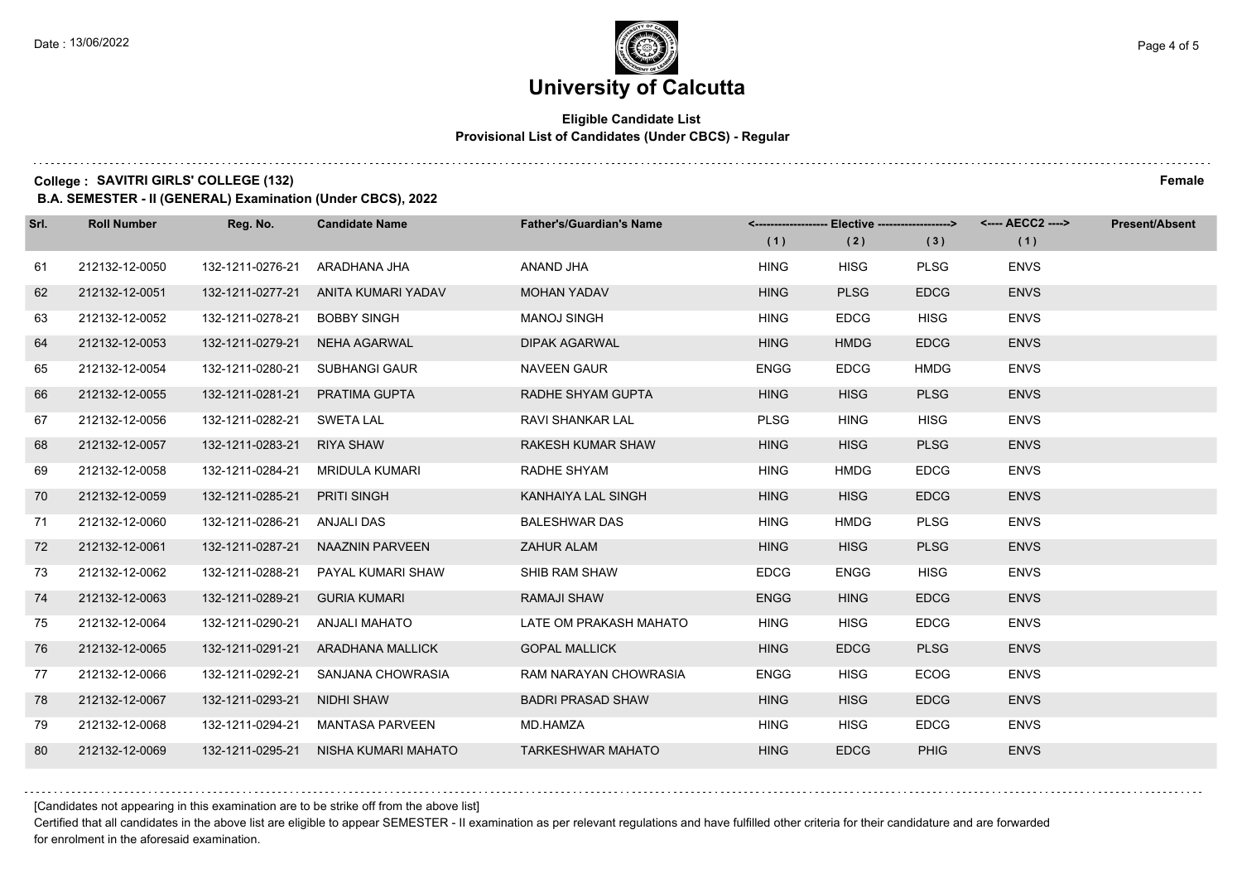### **Eligible Candidate List Provisional List of Candidates (Under CBCS) - Regular**

**College : SAVITRI GIRLS' COLLEGE (132) Female**

**B.A. SEMESTER - II (GENERAL) Examination (Under CBCS), 2022**

| Srl. | <b>Roll Number</b> | Reg. No.         | <b>Candidate Name</b>                | <b>Father's/Guardian's Name</b> |             | <-------------------- Elective ------------------> |             |             | <b>Present/Absent</b> |
|------|--------------------|------------------|--------------------------------------|---------------------------------|-------------|----------------------------------------------------|-------------|-------------|-----------------------|
|      |                    |                  |                                      |                                 | (1)         | (2)                                                | (3)         | (1)         |                       |
| 61   | 212132-12-0050     | 132-1211-0276-21 | ARADHANA JHA                         | ANAND JHA                       | <b>HING</b> | <b>HISG</b>                                        | <b>PLSG</b> | <b>ENVS</b> |                       |
| 62   | 212132-12-0051     | 132-1211-0277-21 | ANITA KUMARI YADAV                   | MOHAN YADAV                     | <b>HING</b> | <b>PLSG</b>                                        | <b>EDCG</b> | <b>ENVS</b> |                       |
| 63   | 212132-12-0052     | 132-1211-0278-21 | <b>BOBBY SINGH</b>                   | <b>MANOJ SINGH</b>              | <b>HING</b> | <b>EDCG</b>                                        | <b>HISG</b> | <b>ENVS</b> |                       |
| 64   | 212132-12-0053     | 132-1211-0279-21 | NEHA AGARWAL                         | <b>DIPAK AGARWAL</b>            | <b>HING</b> | <b>HMDG</b>                                        | <b>EDCG</b> | <b>ENVS</b> |                       |
| 65   | 212132-12-0054     | 132-1211-0280-21 | <b>SUBHANGI GAUR</b>                 | <b>NAVEEN GAUR</b>              | <b>ENGG</b> | <b>EDCG</b>                                        | <b>HMDG</b> | <b>ENVS</b> |                       |
| 66   | 212132-12-0055     | 132-1211-0281-21 | PRATIMA GUPTA                        | RADHE SHYAM GUPTA               | <b>HING</b> | <b>HISG</b>                                        | <b>PLSG</b> | <b>ENVS</b> |                       |
| 67   | 212132-12-0056     | 132-1211-0282-21 | SWETA LAL                            | <b>RAVI SHANKAR LAL</b>         | <b>PLSG</b> | <b>HING</b>                                        | <b>HISG</b> | <b>ENVS</b> |                       |
| 68   | 212132-12-0057     | 132-1211-0283-21 | <b>RIYA SHAW</b>                     | <b>RAKESH KUMAR SHAW</b>        | <b>HING</b> | <b>HISG</b>                                        | <b>PLSG</b> | <b>ENVS</b> |                       |
| 69   | 212132-12-0058     | 132-1211-0284-21 | MRIDULA KUMARI                       | RADHE SHYAM                     | <b>HING</b> | <b>HMDG</b>                                        | <b>EDCG</b> | <b>ENVS</b> |                       |
| 70   | 212132-12-0059     | 132-1211-0285-21 | <b>PRITI SINGH</b>                   | KANHAIYA LAL SINGH              | <b>HING</b> | <b>HISG</b>                                        | <b>EDCG</b> | <b>ENVS</b> |                       |
| 71   | 212132-12-0060     | 132-1211-0286-21 | ANJALI DAS                           | <b>BALESHWAR DAS</b>            | <b>HING</b> | <b>HMDG</b>                                        | <b>PLSG</b> | <b>ENVS</b> |                       |
| 72   | 212132-12-0061     | 132-1211-0287-21 | NAAZNIN PARVEEN                      | ZAHUR ALAM                      | <b>HING</b> | <b>HISG</b>                                        | <b>PLSG</b> | <b>ENVS</b> |                       |
| 73   | 212132-12-0062     | 132-1211-0288-21 | PAYAL KUMARI SHAW                    | SHIB RAM SHAW                   | <b>EDCG</b> | <b>ENGG</b>                                        | <b>HISG</b> | <b>ENVS</b> |                       |
| 74   | 212132-12-0063     | 132-1211-0289-21 | <b>GURIA KUMARI</b>                  | <b>RAMAJI SHAW</b>              | <b>ENGG</b> | <b>HING</b>                                        | <b>EDCG</b> | <b>ENVS</b> |                       |
| 75   | 212132-12-0064     | 132-1211-0290-21 | ANJALI MAHATO                        | LATE OM PRAKASH MAHATO          | <b>HING</b> | <b>HISG</b>                                        | <b>EDCG</b> | <b>ENVS</b> |                       |
| 76   | 212132-12-0065     |                  | 132-1211-0291-21 ARADHANA MALLICK    | <b>GOPAL MALLICK</b>            | <b>HING</b> | <b>EDCG</b>                                        | <b>PLSG</b> | <b>ENVS</b> |                       |
| 77   | 212132-12-0066     | 132-1211-0292-21 | SANJANA CHOWRASIA                    | RAM NARAYAN CHOWRASIA           | <b>ENGG</b> | <b>HISG</b>                                        | <b>ECOG</b> | <b>ENVS</b> |                       |
| 78   | 212132-12-0067     | 132-1211-0293-21 | NIDHI SHAW                           | <b>BADRI PRASAD SHAW</b>        | <b>HING</b> | <b>HISG</b>                                        | <b>EDCG</b> | <b>ENVS</b> |                       |
| 79   | 212132-12-0068     | 132-1211-0294-21 | MANTASA PARVEEN                      | MD.HAMZA                        | <b>HING</b> | <b>HISG</b>                                        | <b>EDCG</b> | <b>ENVS</b> |                       |
| 80   | 212132-12-0069     |                  | 132-1211-0295-21 NISHA KUMARI MAHATO | <b>TARKESHWAR MAHATO</b>        | <b>HING</b> | <b>EDCG</b>                                        | <b>PHIG</b> | <b>ENVS</b> |                       |

[Candidates not appearing in this examination are to be strike off from the above list]

Certified that all candidates in the above list are eligible to appear SEMESTER - II examination as per relevant regulations and have fulfilled other criteria for their candidature and are forwarded for enrolment in the aforesaid examination.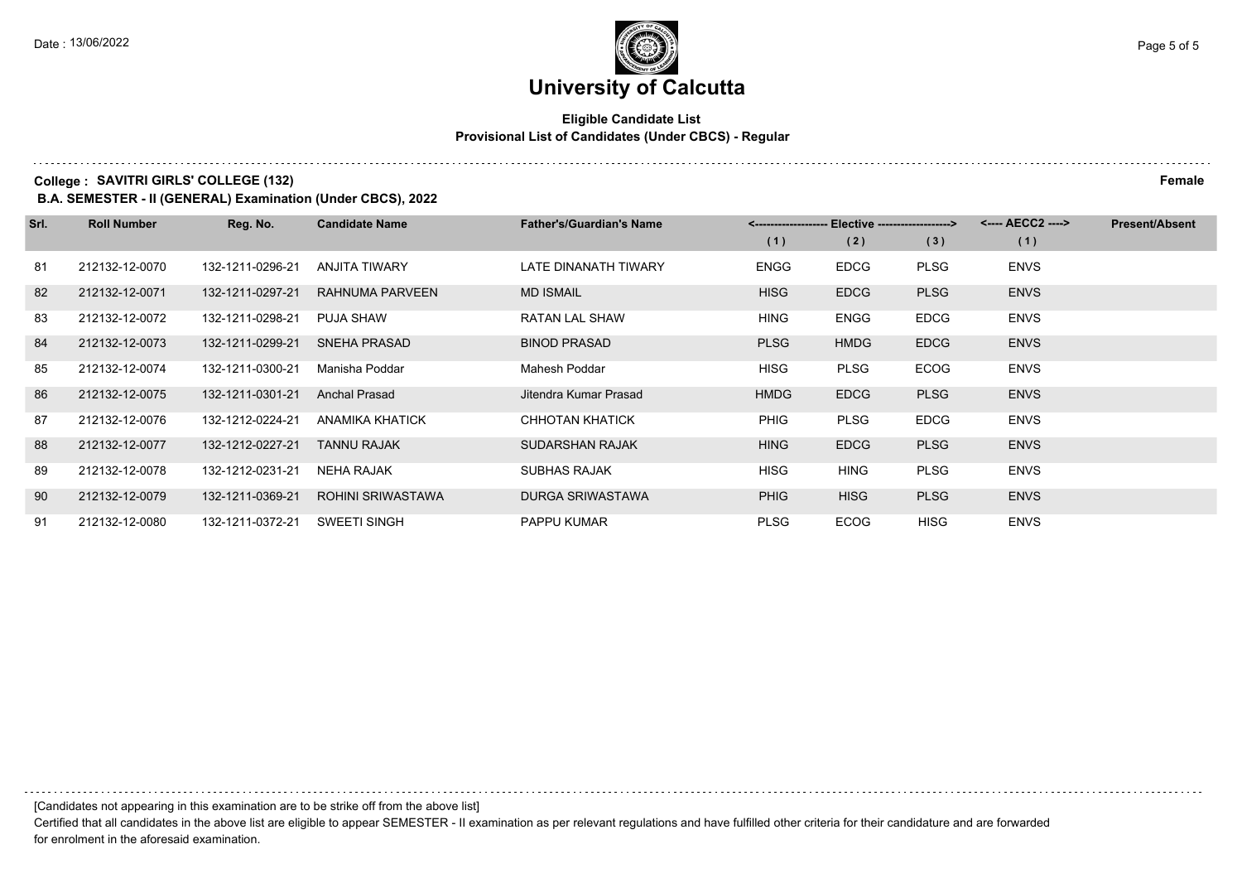### **Eligible Candidate List Provisional List of Candidates (Under CBCS) - Regular**

**College : SAVITRI GIRLS' COLLEGE (132) Female**

**B.A. SEMESTER - II (GENERAL) Examination (Under CBCS), 2022**

| Srl. | <b>Roll Number</b> | Reg. No.         | <b>Candidate Name</b>    | <b>Father's/Guardian's Name</b> | <-------------------- Elective ------------------> |             |             | <---- AECC2 ----> | <b>Present/Absent</b> |
|------|--------------------|------------------|--------------------------|---------------------------------|----------------------------------------------------|-------------|-------------|-------------------|-----------------------|
|      |                    |                  |                          |                                 | (1)                                                | (2)         | (3)         | (1)               |                       |
| 81   | 212132-12-0070     | 132-1211-0296-21 | ANJITA TIWARY            | LATE DINANATH TIWARY            | ENGG                                               | <b>EDCG</b> | <b>PLSG</b> | <b>ENVS</b>       |                       |
| 82   | 212132-12-0071     | 132-1211-0297-21 | RAHNUMA PARVEEN          | <b>MD ISMAIL</b>                | <b>HISG</b>                                        | <b>EDCG</b> | <b>PLSG</b> | <b>ENVS</b>       |                       |
| 83   | 212132-12-0072     | 132-1211-0298-21 | <b>PUJA SHAW</b>         | RATAN LAL SHAW                  | <b>HING</b>                                        | <b>ENGG</b> | <b>EDCG</b> | <b>ENVS</b>       |                       |
| 84   | 212132-12-0073     | 132-1211-0299-21 | <b>SNEHA PRASAD</b>      | <b>BINOD PRASAD</b>             | <b>PLSG</b>                                        | <b>HMDG</b> | <b>EDCG</b> | <b>ENVS</b>       |                       |
| 85   | 212132-12-0074     | 132-1211-0300-21 | Manisha Poddar           | Mahesh Poddar                   | <b>HISG</b>                                        | <b>PLSG</b> | <b>ECOG</b> | <b>ENVS</b>       |                       |
| 86   | 212132-12-0075     | 132-1211-0301-21 | <b>Anchal Prasad</b>     | Jitendra Kumar Prasad           | <b>HMDG</b>                                        | <b>EDCG</b> | <b>PLSG</b> | <b>ENVS</b>       |                       |
| 87   | 212132-12-0076     | 132-1212-0224-21 | ANAMIKA KHATICK          | CHHOTAN KHATICK                 | <b>PHIG</b>                                        | <b>PLSG</b> | <b>EDCG</b> | <b>ENVS</b>       |                       |
| 88   | 212132-12-0077     | 132-1212-0227-21 | <b>TANNU RAJAK</b>       | <b>SUDARSHAN RAJAK</b>          | <b>HING</b>                                        | <b>EDCG</b> | <b>PLSG</b> | <b>ENVS</b>       |                       |
| 89   | 212132-12-0078     | 132-1212-0231-21 | NEHA RAJAK               | <b>SUBHAS RAJAK</b>             | <b>HISG</b>                                        | <b>HING</b> | <b>PLSG</b> | <b>ENVS</b>       |                       |
| 90   | 212132-12-0079     | 132-1211-0369-21 | <b>ROHINI SRIWASTAWA</b> | <b>DURGA SRIWASTAWA</b>         | <b>PHIG</b>                                        | <b>HISG</b> | <b>PLSG</b> | <b>ENVS</b>       |                       |
| 91   | 212132-12-0080     | 132-1211-0372-21 | <b>SWEETI SINGH</b>      | <b>PAPPU KUMAR</b>              | <b>PLSG</b>                                        | <b>ECOG</b> | <b>HISG</b> | <b>ENVS</b>       |                       |

[Candidates not appearing in this examination are to be strike off from the above list]

Certified that all candidates in the above list are eligible to appear SEMESTER - II examination as per relevant regulations and have fulfilled other criteria for their candidature and are forwarded for enrolment in the aforesaid examination.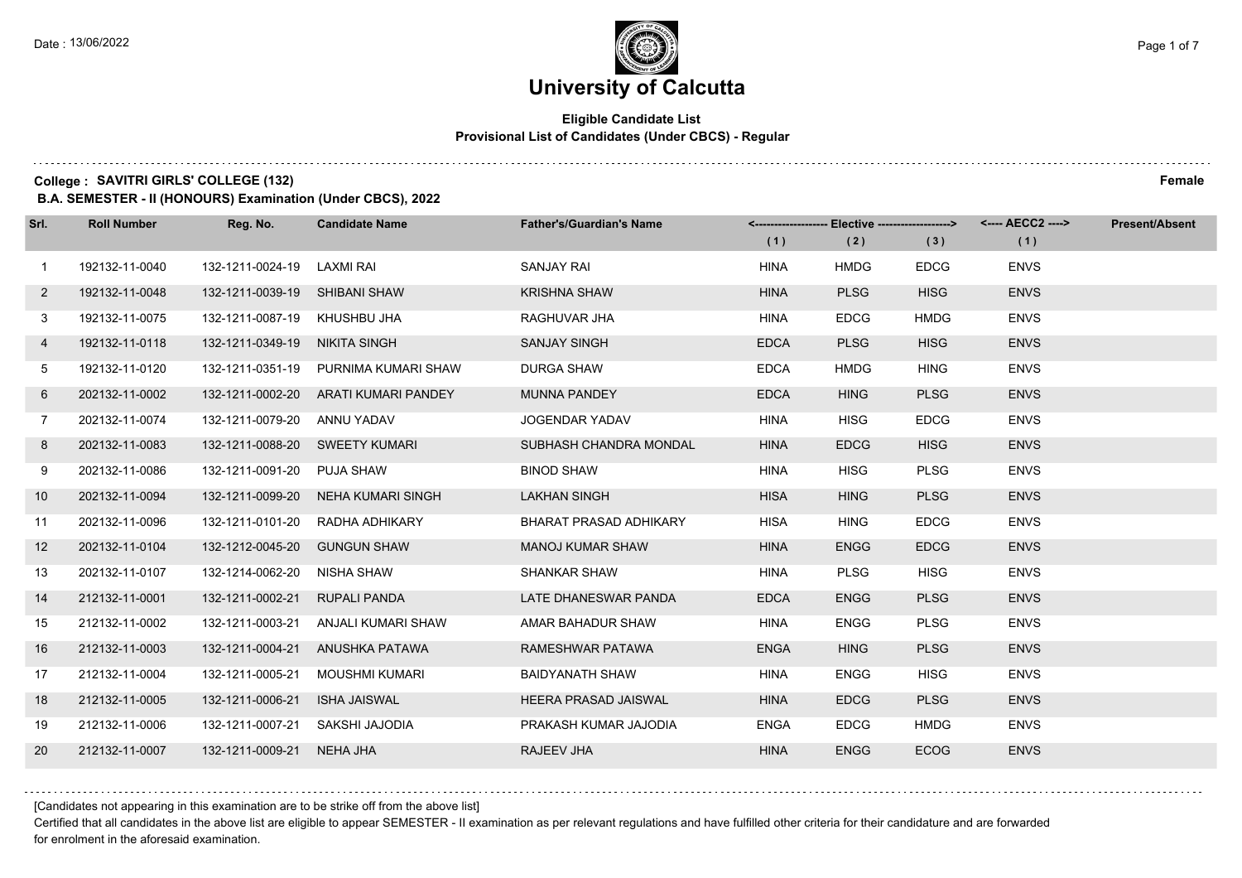### **Eligible Candidate List Provisional List of Candidates (Under CBCS) - Regular**

**College : SAVITRI GIRLS' COLLEGE (132) Female**

**B.A. SEMESTER - II (HONOURS) Examination (Under CBCS), 2022**

| Srl.         | <b>Roll Number</b> | Reg. No.                       | <b>Candidate Name</b>           | <b>Father's/Guardian's Name</b> |             | <-------------------- Elective ------------------> |             | <---- AECC2 ----> | <b>Present/Absent</b> |
|--------------|--------------------|--------------------------------|---------------------------------|---------------------------------|-------------|----------------------------------------------------|-------------|-------------------|-----------------------|
|              |                    |                                |                                 |                                 | (1)         | (2)                                                | (3)         | (1)               |                       |
| $\mathbf{1}$ | 192132-11-0040     | 132-1211-0024-19               | LAXMI RAI                       | <b>SANJAY RAI</b>               | HINA        | <b>HMDG</b>                                        | <b>EDCG</b> | <b>ENVS</b>       |                       |
| $\mathbf{2}$ | 192132-11-0048     | 132-1211-0039-19               | <b>SHIBANI SHAW</b>             | <b>KRISHNA SHAW</b>             | <b>HINA</b> | <b>PLSG</b>                                        | <b>HISG</b> | <b>ENVS</b>       |                       |
| 3            | 192132-11-0075     | 132-1211-0087-19 KHUSHBU JHA   |                                 | RAGHUVAR JHA                    | <b>HINA</b> | <b>EDCG</b>                                        | <b>HMDG</b> | <b>ENVS</b>       |                       |
| 4            | 192132-11-0118     | 132-1211-0349-19 NIKITA SINGH  |                                 | <b>SANJAY SINGH</b>             | <b>EDCA</b> | <b>PLSG</b>                                        | <b>HISG</b> | <b>ENVS</b>       |                       |
| 5            | 192132-11-0120     | 132-1211-0351-19               | PURNIMA KUMARI SHAW             | <b>DURGA SHAW</b>               | <b>EDCA</b> | <b>HMDG</b>                                        | <b>HING</b> | <b>ENVS</b>       |                       |
| 6            | 202132-11-0002     | 132-1211-0002-20               | ARATI KUMARI PANDEY             | <b>MUNNA PANDEY</b>             | <b>EDCA</b> | <b>HING</b>                                        | <b>PLSG</b> | <b>ENVS</b>       |                       |
| $7^{\circ}$  | 202132-11-0074     | 132-1211-0079-20 ANNU YADAV    |                                 | JOGENDAR YADAV                  | <b>HINA</b> | <b>HISG</b>                                        | <b>EDCG</b> | <b>ENVS</b>       |                       |
| 8            | 202132-11-0083     | 132-1211-0088-20 SWEETY KUMARI |                                 | SUBHASH CHANDRA MONDAL          | <b>HINA</b> | <b>EDCG</b>                                        | <b>HISG</b> | <b>ENVS</b>       |                       |
| 9            | 202132-11-0086     | 132-1211-0091-20               | PUJA SHAW                       | <b>BINOD SHAW</b>               | <b>HINA</b> | <b>HISG</b>                                        | <b>PLSG</b> | <b>ENVS</b>       |                       |
| 10           | 202132-11-0094     | 132-1211-0099-20               | NEHA KUMARI SINGH               | <b>LAKHAN SINGH</b>             | <b>HISA</b> | <b>HING</b>                                        | <b>PLSG</b> | <b>ENVS</b>       |                       |
| 11           | 202132-11-0096     |                                | 132-1211-0101-20 RADHA ADHIKARY | <b>BHARAT PRASAD ADHIKARY</b>   | <b>HISA</b> | <b>HING</b>                                        | <b>EDCG</b> | <b>ENVS</b>       |                       |
| 12           | 202132-11-0104     | 132-1212-0045-20 GUNGUN SHAW   |                                 | <b>MANOJ KUMAR SHAW</b>         | <b>HINA</b> | <b>ENGG</b>                                        | <b>EDCG</b> | <b>ENVS</b>       |                       |
| 13           | 202132-11-0107     | 132-1214-0062-20               | NISHA SHAW                      | <b>SHANKAR SHAW</b>             | <b>HINA</b> | <b>PLSG</b>                                        | <b>HISG</b> | <b>ENVS</b>       |                       |
| 14           | 212132-11-0001     | 132-1211-0002-21               | <b>RUPALI PANDA</b>             | LATE DHANESWAR PANDA            | <b>EDCA</b> | <b>ENGG</b>                                        | <b>PLSG</b> | <b>ENVS</b>       |                       |
| 15           | 212132-11-0002     | 132-1211-0003-21               | ANJALI KUMARI SHAW              | AMAR BAHADUR SHAW               | HINA        | <b>ENGG</b>                                        | <b>PLSG</b> | <b>ENVS</b>       |                       |
| 16           | 212132-11-0003     | 132-1211-0004-21               | ANUSHKA PATAWA                  | RAMESHWAR PATAWA                | <b>ENGA</b> | <b>HING</b>                                        | <b>PLSG</b> | <b>ENVS</b>       |                       |
| 17           | 212132-11-0004     | 132-1211-0005-21               | <b>MOUSHMI KUMARI</b>           | <b>BAIDYANATH SHAW</b>          | <b>HINA</b> | <b>ENGG</b>                                        | <b>HISG</b> | <b>ENVS</b>       |                       |
| 18           | 212132-11-0005     | 132-1211-0006-21               | <b>ISHA JAISWAL</b>             | <b>HEERA PRASAD JAISWAL</b>     | <b>HINA</b> | <b>EDCG</b>                                        | <b>PLSG</b> | <b>ENVS</b>       |                       |
| 19           | 212132-11-0006     | 132-1211-0007-21               | SAKSHI JAJODIA                  | PRAKASH KUMAR JAJODIA           | <b>ENGA</b> | <b>EDCG</b>                                        | <b>HMDG</b> | <b>ENVS</b>       |                       |
| 20           | 212132-11-0007     | 132-1211-0009-21 NEHA JHA      |                                 | RAJEEV JHA                      | <b>HINA</b> | <b>ENGG</b>                                        | <b>ECOG</b> | <b>ENVS</b>       |                       |

[Candidates not appearing in this examination are to be strike off from the above list]

Certified that all candidates in the above list are eligible to appear SEMESTER - II examination as per relevant regulations and have fulfilled other criteria for their candidature and are forwarded for enrolment in the aforesaid examination.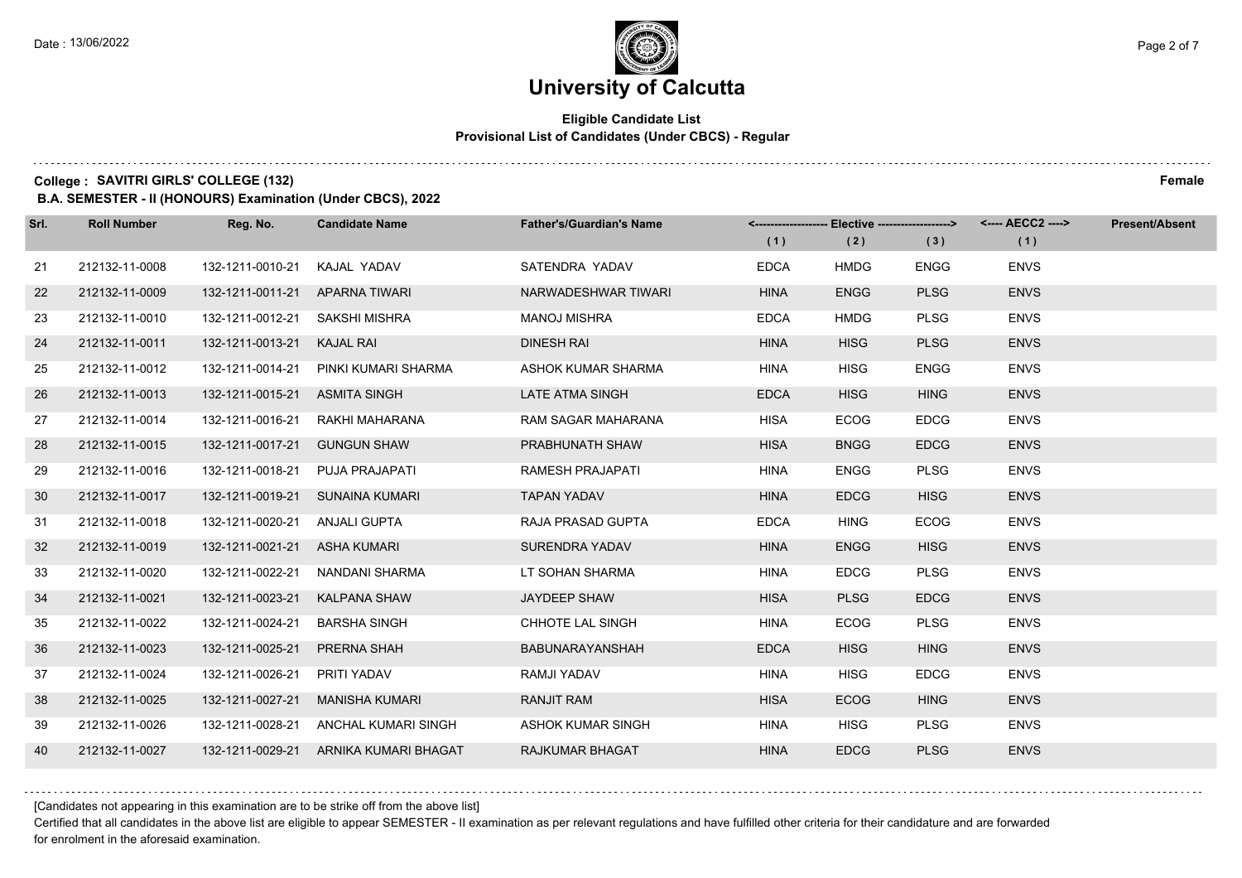### **Eligible Candidate List Provisional List of Candidates (Under CBCS) - Regular**

**College : SAVITRI GIRLS' COLLEGE (132) Female**

**B.A. SEMESTER - II (HONOURS) Examination (Under CBCS), 2022**

| Srl. | <b>Roll Number</b> | Reg. No.                     | <b>Candidate Name</b>                 | <b>Father's/Guardian's Name</b> | (1)         | (2)         | <------------------- Elective ------------------> <---- AECC2 ----><br>(3) | (1)         | <b>Present/Absent</b> |
|------|--------------------|------------------------------|---------------------------------------|---------------------------------|-------------|-------------|----------------------------------------------------------------------------|-------------|-----------------------|
| 21   | 212132-11-0008     | 132-1211-0010-21             | KAJAL YADAV                           | SATENDRA YADAV                  | <b>EDCA</b> | <b>HMDG</b> | <b>ENGG</b>                                                                | <b>ENVS</b> |                       |
| 22   | 212132-11-0009     | 132-1211-0011-21             | APARNA TIWARI                         | NARWADESHWAR TIWARI             | <b>HINA</b> | <b>ENGG</b> | <b>PLSG</b>                                                                | <b>ENVS</b> |                       |
| 23   | 212132-11-0010     | 132-1211-0012-21             | SAKSHI MISHRA                         | <b>MANOJ MISHRA</b>             | <b>EDCA</b> | <b>HMDG</b> | <b>PLSG</b>                                                                | <b>ENVS</b> |                       |
| 24   | 212132-11-0011     | 132-1211-0013-21             | <b>KAJAL RAI</b>                      | <b>DINESH RAI</b>               | <b>HINA</b> | <b>HISG</b> | <b>PLSG</b>                                                                | <b>ENVS</b> |                       |
| 25   | 212132-11-0012     | 132-1211-0014-21             | PINKI KUMARI SHARMA                   | ASHOK KUMAR SHARMA              | <b>HINA</b> | <b>HISG</b> | <b>ENGG</b>                                                                | <b>ENVS</b> |                       |
| 26   | 212132-11-0013     | 132-1211-0015-21             | <b>ASMITA SINGH</b>                   | <b>LATE ATMA SINGH</b>          | <b>EDCA</b> | <b>HISG</b> | <b>HING</b>                                                                | <b>ENVS</b> |                       |
| 27   | 212132-11-0014     | 132-1211-0016-21             | RAKHI MAHARANA                        | RAM SAGAR MAHARANA              | <b>HISA</b> | <b>ECOG</b> | <b>EDCG</b>                                                                | <b>ENVS</b> |                       |
| 28   | 212132-11-0015     | 132-1211-0017-21             | <b>GUNGUN SHAW</b>                    | PRABHUNATH SHAW                 | <b>HISA</b> | <b>BNGG</b> | <b>EDCG</b>                                                                | <b>ENVS</b> |                       |
| 29   | 212132-11-0016     | 132-1211-0018-21             | PUJA PRAJAPATI                        | RAMESH PRAJAPATI                | <b>HINA</b> | <b>ENGG</b> | <b>PLSG</b>                                                                | <b>ENVS</b> |                       |
| 30   | 212132-11-0017     | 132-1211-0019-21             | SUNAINA KUMARI                        | <b>TAPAN YADAV</b>              | <b>HINA</b> | <b>EDCG</b> | <b>HISG</b>                                                                | <b>ENVS</b> |                       |
| 31   | 212132-11-0018     | 132-1211-0020-21             | ANJALI GUPTA                          | RAJA PRASAD GUPTA               | <b>EDCA</b> | <b>HING</b> | <b>ECOG</b>                                                                | <b>ENVS</b> |                       |
| 32   | 212132-11-0019     | 132-1211-0021-21 ASHA KUMARI |                                       | <b>SURENDRA YADAV</b>           | <b>HINA</b> | <b>ENGG</b> | <b>HISG</b>                                                                | <b>ENVS</b> |                       |
| 33   | 212132-11-0020     | 132-1211-0022-21             | NANDANI SHARMA                        | LT SOHAN SHARMA                 | <b>HINA</b> | <b>EDCG</b> | <b>PLSG</b>                                                                | <b>ENVS</b> |                       |
| 34   | 212132-11-0021     | 132-1211-0023-21             | <b>KALPANA SHAW</b>                   | <b>JAYDEEP SHAW</b>             | <b>HISA</b> | <b>PLSG</b> | <b>EDCG</b>                                                                | <b>ENVS</b> |                       |
| 35   | 212132-11-0022     | 132-1211-0024-21             | <b>BARSHA SINGH</b>                   | CHHOTE LAL SINGH                | <b>HINA</b> | <b>ECOG</b> | <b>PLSG</b>                                                                | <b>ENVS</b> |                       |
| 36   | 212132-11-0023     | 132-1211-0025-21             | PRERNA SHAH                           | BABUNARAYANSHAH                 | <b>EDCA</b> | <b>HISG</b> | <b>HING</b>                                                                | <b>ENVS</b> |                       |
| 37   | 212132-11-0024     | 132-1211-0026-21             | PRITI YADAV                           | RAMJI YADAV                     | <b>HINA</b> | <b>HISG</b> | <b>EDCG</b>                                                                | <b>ENVS</b> |                       |
| 38   | 212132-11-0025     | 132-1211-0027-21             | <b>MANISHA KUMARI</b>                 | <b>RANJIT RAM</b>               | <b>HISA</b> | <b>ECOG</b> | <b>HING</b>                                                                | <b>ENVS</b> |                       |
| 39   | 212132-11-0026     | 132-1211-0028-21             | ANCHAL KUMARI SINGH                   | ASHOK KUMAR SINGH               | <b>HINA</b> | <b>HISG</b> | <b>PLSG</b>                                                                | <b>ENVS</b> |                       |
| 40   | 212132-11-0027     |                              | 132-1211-0029-21 ARNIKA KUMARI BHAGAT | <b>RAJKUMAR BHAGAT</b>          | <b>HINA</b> | <b>EDCG</b> | <b>PLSG</b>                                                                | <b>ENVS</b> |                       |

[Candidates not appearing in this examination are to be strike off from the above list]

Certified that all candidates in the above list are eligible to appear SEMESTER - II examination as per relevant regulations and have fulfilled other criteria for their candidature and are forwarded for enrolment in the aforesaid examination.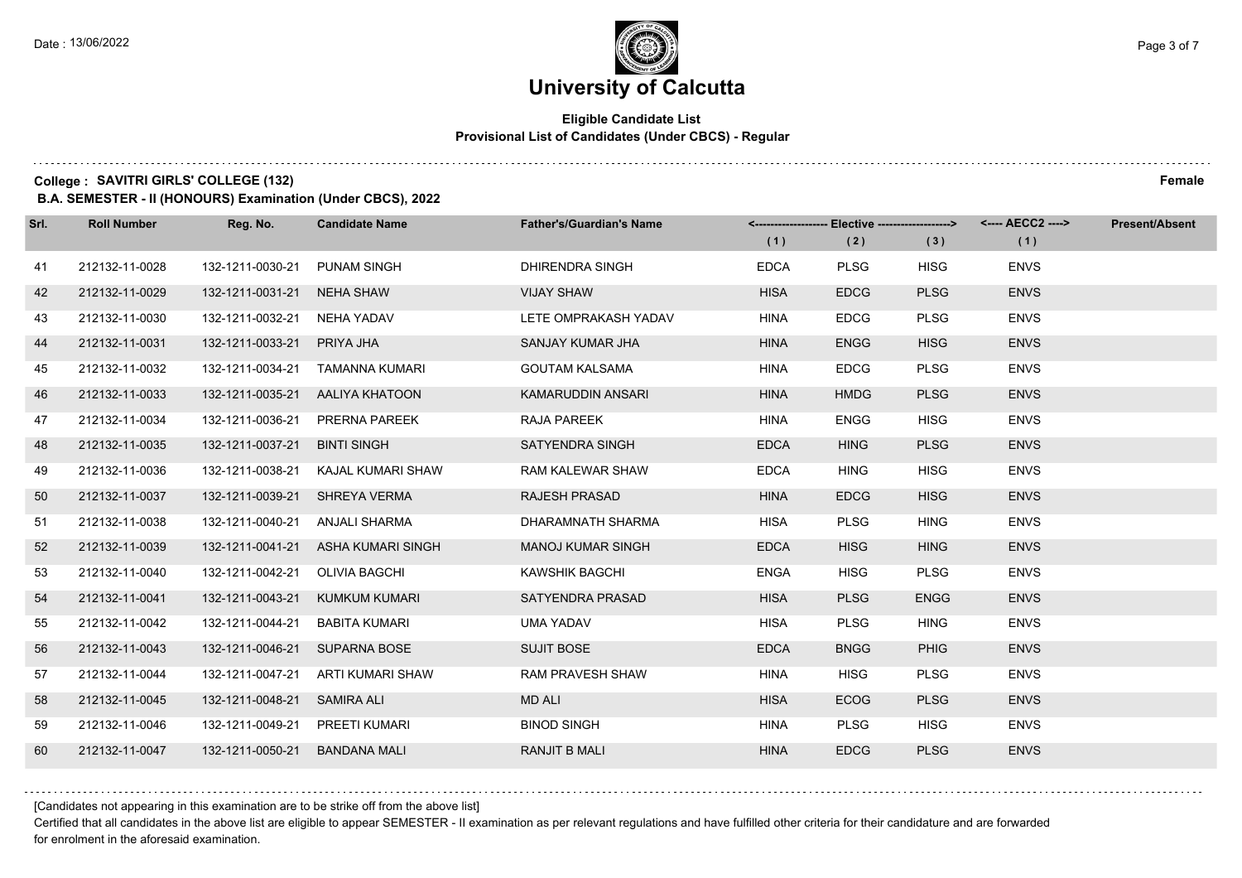$1.111$ 

## **University of Calcutta**

### **Eligible Candidate List Provisional List of Candidates (Under CBCS) - Regular**

### **College : SAVITRI GIRLS' COLLEGE (132) Female**

**B.A. SEMESTER - II (HONOURS) Examination (Under CBCS), 2022**

| Srl. | <b>Roll Number</b> | Reg. No.         | <b>Candidate Name</b> | <b>Father's/Guardian's Name</b> | (1)         | <------------------- Elective ------------------><br>(2) | (3)         | <---- AECC2 ----><br>(1) | <b>Present/Absent</b> |
|------|--------------------|------------------|-----------------------|---------------------------------|-------------|----------------------------------------------------------|-------------|--------------------------|-----------------------|
| 41   | 212132-11-0028     | 132-1211-0030-21 | <b>PUNAM SINGH</b>    | <b>DHIRENDRA SINGH</b>          | <b>EDCA</b> | <b>PLSG</b>                                              | <b>HISG</b> | <b>ENVS</b>              |                       |
| 42   | 212132-11-0029     | 132-1211-0031-21 | <b>NEHA SHAW</b>      | <b>VIJAY SHAW</b>               | <b>HISA</b> | <b>EDCG</b>                                              | <b>PLSG</b> | <b>ENVS</b>              |                       |
| 43   | 212132-11-0030     | 132-1211-0032-21 | NEHA YADAV            | LETE OMPRAKASH YADAV            | <b>HINA</b> | <b>EDCG</b>                                              | <b>PLSG</b> | <b>ENVS</b>              |                       |
| 44   | 212132-11-0031     | 132-1211-0033-21 | PRIYA JHA             | SANJAY KUMAR JHA                | <b>HINA</b> | <b>ENGG</b>                                              | <b>HISG</b> | <b>ENVS</b>              |                       |
| 45   | 212132-11-0032     | 132-1211-0034-21 | TAMANNA KUMARI        | <b>GOUTAM KALSAMA</b>           | <b>HINA</b> | <b>EDCG</b>                                              | <b>PLSG</b> | <b>ENVS</b>              |                       |
| 46   | 212132-11-0033     | 132-1211-0035-21 | AALIYA KHATOON        | KAMARUDDIN ANSARI               | <b>HINA</b> | <b>HMDG</b>                                              | <b>PLSG</b> | <b>ENVS</b>              |                       |
| 47   | 212132-11-0034     | 132-1211-0036-21 | PRERNA PAREEK         | <b>RAJA PAREEK</b>              | <b>HINA</b> | <b>ENGG</b>                                              | <b>HISG</b> | <b>ENVS</b>              |                       |
| 48   | 212132-11-0035     | 132-1211-0037-21 | <b>BINTI SINGH</b>    | <b>SATYENDRA SINGH</b>          | <b>EDCA</b> | <b>HING</b>                                              | <b>PLSG</b> | <b>ENVS</b>              |                       |
| 49   | 212132-11-0036     | 132-1211-0038-21 | KAJAL KUMARI SHAW     | RAM KALEWAR SHAW                | <b>EDCA</b> | <b>HING</b>                                              | <b>HISG</b> | <b>ENVS</b>              |                       |
| 50   | 212132-11-0037     | 132-1211-0039-21 | SHREYA VERMA          | <b>RAJESH PRASAD</b>            | <b>HINA</b> | <b>EDCG</b>                                              | <b>HISG</b> | <b>ENVS</b>              |                       |
| 51   | 212132-11-0038     | 132-1211-0040-21 | ANJALI SHARMA         | DHARAMNATH SHARMA               | <b>HISA</b> | <b>PLSG</b>                                              | <b>HING</b> | <b>ENVS</b>              |                       |
| 52   | 212132-11-0039     | 132-1211-0041-21 | ASHA KUMARI SINGH     | <b>MANOJ KUMAR SINGH</b>        | <b>EDCA</b> | <b>HISG</b>                                              | <b>HING</b> | <b>ENVS</b>              |                       |
| 53   | 212132-11-0040     | 132-1211-0042-21 | <b>OLIVIA BAGCHI</b>  | <b>KAWSHIK BAGCHI</b>           | <b>ENGA</b> | <b>HISG</b>                                              | <b>PLSG</b> | <b>ENVS</b>              |                       |
| 54   | 212132-11-0041     | 132-1211-0043-21 | KUMKUM KUMARI         | SATYENDRA PRASAD                | <b>HISA</b> | <b>PLSG</b>                                              | <b>ENGG</b> | <b>ENVS</b>              |                       |
| 55   | 212132-11-0042     | 132-1211-0044-21 | BABITA KUMARI         | <b>UMA YADAV</b>                | <b>HISA</b> | <b>PLSG</b>                                              | <b>HING</b> | <b>ENVS</b>              |                       |
| 56   | 212132-11-0043     | 132-1211-0046-21 | <b>SUPARNA BOSE</b>   | <b>SUJIT BOSE</b>               | <b>EDCA</b> | <b>BNGG</b>                                              | <b>PHIG</b> | <b>ENVS</b>              |                       |
| 57   | 212132-11-0044     | 132-1211-0047-21 | ARTI KUMARI SHAW      | <b>RAM PRAVESH SHAW</b>         | <b>HINA</b> | <b>HISG</b>                                              | <b>PLSG</b> | <b>ENVS</b>              |                       |
| 58   | 212132-11-0045     | 132-1211-0048-21 | <b>SAMIRA ALI</b>     | <b>MD ALI</b>                   | <b>HISA</b> | <b>ECOG</b>                                              | <b>PLSG</b> | <b>ENVS</b>              |                       |
| 59   | 212132-11-0046     | 132-1211-0049-21 | PREETI KUMARI         | <b>BINOD SINGH</b>              | <b>HINA</b> | <b>PLSG</b>                                              | <b>HISG</b> | <b>ENVS</b>              |                       |
| 60   | 212132-11-0047     | 132-1211-0050-21 | <b>BANDANA MALI</b>   | <b>RANJIT B MALI</b>            | <b>HINA</b> | <b>EDCG</b>                                              | <b>PLSG</b> | <b>ENVS</b>              |                       |

[Candidates not appearing in this examination are to be strike off from the above list]

Certified that all candidates in the above list are eligible to appear SEMESTER - II examination as per relevant regulations and have fulfilled other criteria for their candidature and are forwarded for enrolment in the aforesaid examination.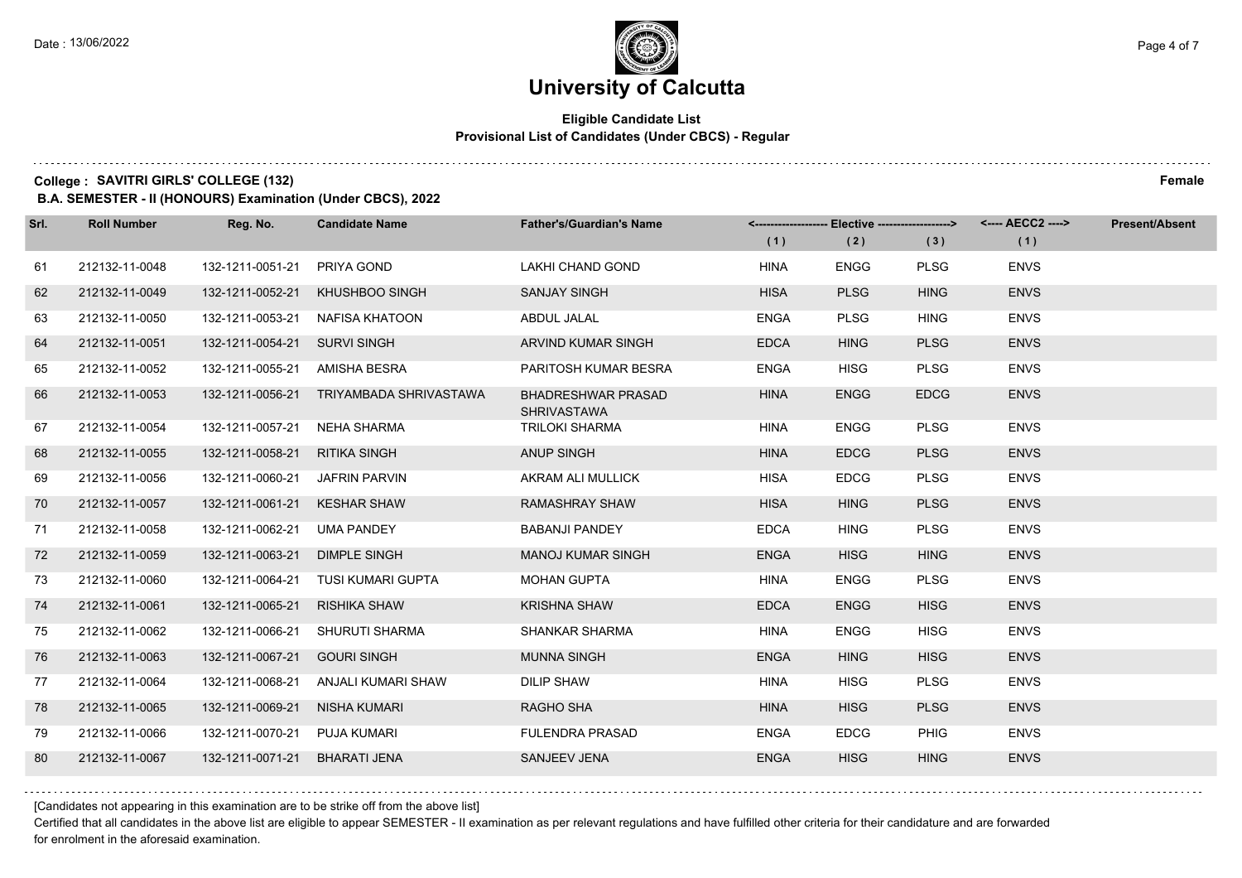### **Eligible Candidate List Provisional List of Candidates (Under CBCS) - Regular**

**College : SAVITRI GIRLS' COLLEGE (132) Female**

**B.A. SEMESTER - II (HONOURS) Examination (Under CBCS), 2022**

| Srl. | <b>Roll Number</b> | Reg. No.         | <b>Candidate Name</b>  | <b>Father's/Guardian's Name</b>                 | (1)         | <------------------- Elective ------------------><br>(2) | (3)         | <---- AECC2 ----><br>(1) | <b>Present/Absent</b> |
|------|--------------------|------------------|------------------------|-------------------------------------------------|-------------|----------------------------------------------------------|-------------|--------------------------|-----------------------|
| 61   | 212132-11-0048     | 132-1211-0051-21 | PRIYA GOND             | LAKHI CHAND GOND                                | <b>HINA</b> | <b>ENGG</b>                                              | <b>PLSG</b> | <b>ENVS</b>              |                       |
| 62   | 212132-11-0049     | 132-1211-0052-21 | <b>KHUSHBOO SINGH</b>  | <b>SANJAY SINGH</b>                             | <b>HISA</b> | <b>PLSG</b>                                              | <b>HING</b> | <b>ENVS</b>              |                       |
| 63   | 212132-11-0050     | 132-1211-0053-21 | NAFISA KHATOON         | ABDUL JALAL                                     | <b>ENGA</b> | <b>PLSG</b>                                              | <b>HING</b> | <b>ENVS</b>              |                       |
| 64   | 212132-11-0051     | 132-1211-0054-21 | <b>SURVI SINGH</b>     | ARVIND KUMAR SINGH                              | <b>EDCA</b> | <b>HING</b>                                              | <b>PLSG</b> | <b>ENVS</b>              |                       |
| 65   | 212132-11-0052     | 132-1211-0055-21 | AMISHA BESRA           | PARITOSH KUMAR BESRA                            | <b>ENGA</b> | <b>HISG</b>                                              | <b>PLSG</b> | <b>ENVS</b>              |                       |
| 66   | 212132-11-0053     | 132-1211-0056-21 | TRIYAMBADA SHRIVASTAWA | <b>BHADRESHWAR PRASAD</b><br><b>SHRIVASTAWA</b> | <b>HINA</b> | <b>ENGG</b>                                              | <b>EDCG</b> | <b>ENVS</b>              |                       |
| 67   | 212132-11-0054     | 132-1211-0057-21 | <b>NEHA SHARMA</b>     | TRILOKI SHARMA                                  | <b>HINA</b> | <b>ENGG</b>                                              | <b>PLSG</b> | <b>ENVS</b>              |                       |
| 68   | 212132-11-0055     | 132-1211-0058-21 | <b>RITIKA SINGH</b>    | <b>ANUP SINGH</b>                               | <b>HINA</b> | <b>EDCG</b>                                              | <b>PLSG</b> | <b>ENVS</b>              |                       |
| 69   | 212132-11-0056     | 132-1211-0060-21 | <b>JAFRIN PARVIN</b>   | AKRAM ALI MULLICK                               | <b>HISA</b> | <b>EDCG</b>                                              | <b>PLSG</b> | <b>ENVS</b>              |                       |
| 70   | 212132-11-0057     | 132-1211-0061-21 | <b>KESHAR SHAW</b>     | <b>RAMASHRAY SHAW</b>                           | <b>HISA</b> | <b>HING</b>                                              | <b>PLSG</b> | <b>ENVS</b>              |                       |
| 71   | 212132-11-0058     | 132-1211-0062-21 | <b>UMA PANDEY</b>      | <b>BABANJI PANDEY</b>                           | <b>EDCA</b> | <b>HING</b>                                              | <b>PLSG</b> | <b>ENVS</b>              |                       |
| 72   | 212132-11-0059     | 132-1211-0063-21 | <b>DIMPLE SINGH</b>    | <b>MANOJ KUMAR SINGH</b>                        | <b>ENGA</b> | <b>HISG</b>                                              | <b>HING</b> | <b>ENVS</b>              |                       |
| 73   | 212132-11-0060     | 132-1211-0064-21 | TUSI KUMARI GUPTA      | <b>MOHAN GUPTA</b>                              | <b>HINA</b> | <b>ENGG</b>                                              | <b>PLSG</b> | <b>ENVS</b>              |                       |
| 74   | 212132-11-0061     | 132-1211-0065-21 | <b>RISHIKA SHAW</b>    | <b>KRISHNA SHAW</b>                             | <b>EDCA</b> | <b>ENGG</b>                                              | <b>HISG</b> | <b>ENVS</b>              |                       |
| 75   | 212132-11-0062     | 132-1211-0066-21 | SHURUTI SHARMA         | <b>SHANKAR SHARMA</b>                           | <b>HINA</b> | <b>ENGG</b>                                              | <b>HISG</b> | <b>ENVS</b>              |                       |
| 76   | 212132-11-0063     | 132-1211-0067-21 | <b>GOURI SINGH</b>     | <b>MUNNA SINGH</b>                              | <b>ENGA</b> | <b>HING</b>                                              | <b>HISG</b> | <b>ENVS</b>              |                       |
| 77   | 212132-11-0064     | 132-1211-0068-21 | ANJALI KUMARI SHAW     | <b>DILIP SHAW</b>                               | <b>HINA</b> | <b>HISG</b>                                              | <b>PLSG</b> | <b>ENVS</b>              |                       |
| 78   | 212132-11-0065     | 132-1211-0069-21 | <b>NISHA KUMARI</b>    | <b>RAGHO SHA</b>                                | <b>HINA</b> | <b>HISG</b>                                              | <b>PLSG</b> | <b>ENVS</b>              |                       |
| 79   | 212132-11-0066     | 132-1211-0070-21 | PUJA KUMARI            | <b>FULENDRA PRASAD</b>                          | <b>ENGA</b> | <b>EDCG</b>                                              | <b>PHIG</b> | <b>ENVS</b>              |                       |
| 80   | 212132-11-0067     | 132-1211-0071-21 | <b>BHARATI JENA</b>    | <b>SANJEEV JENA</b>                             | <b>ENGA</b> | <b>HISG</b>                                              | <b>HING</b> | <b>ENVS</b>              |                       |

[Candidates not appearing in this examination are to be strike off from the above list]

Certified that all candidates in the above list are eligible to appear SEMESTER - II examination as per relevant regulations and have fulfilled other criteria for their candidature and are forwarded for enrolment in the aforesaid examination.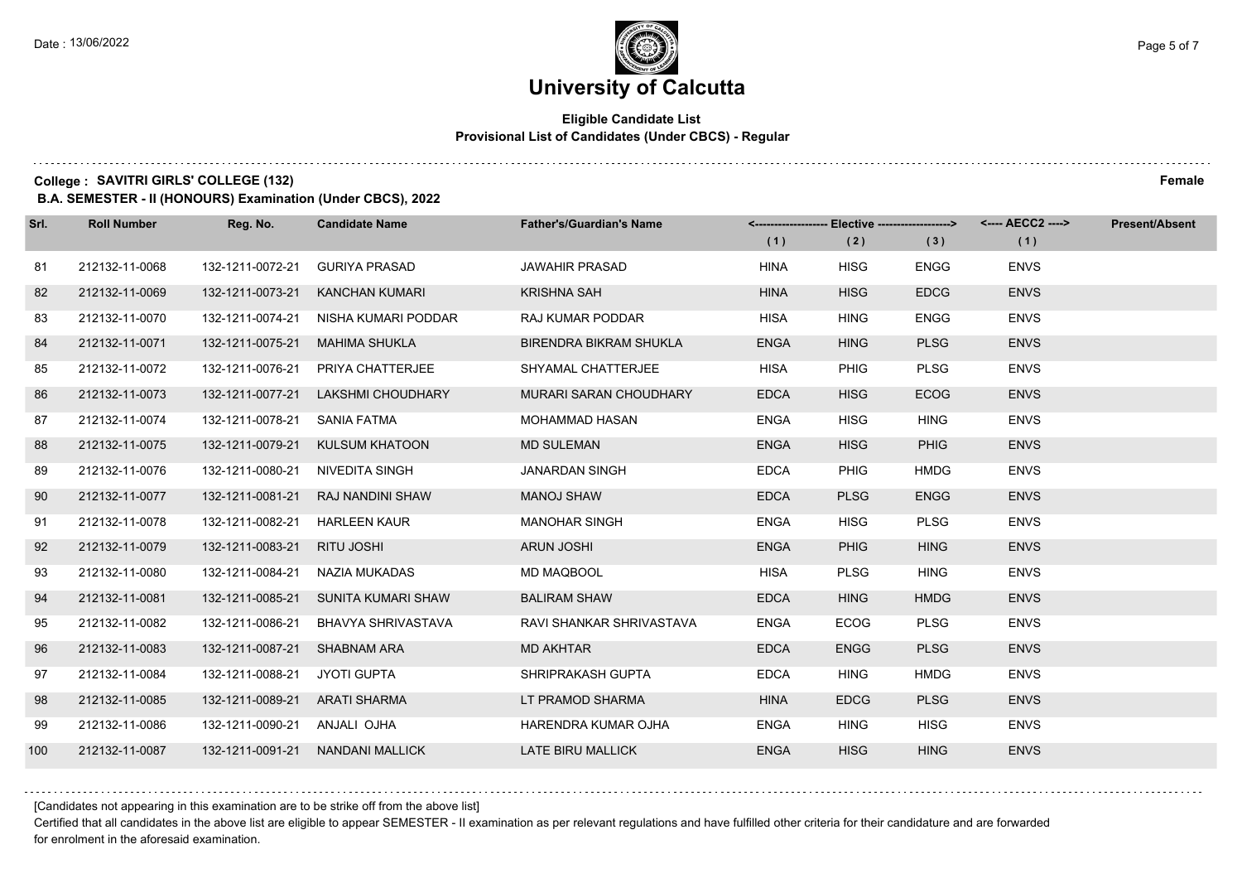### **Eligible Candidate List Provisional List of Candidates (Under CBCS) - Regular**

**College : SAVITRI GIRLS' COLLEGE (132) Female**

**B.A. SEMESTER - II (HONOURS) Examination (Under CBCS), 2022**

| Srl. | <b>Roll Number</b> | Reg. No.                      | <b>Candidate Name</b>            | <b>Father's/Guardian's Name</b> | (1)         | <-------------------- Elective ------------------><br>(2) | (3)         | <---- AECC2 ----><br>(1) | <b>Present/Absent</b> |
|------|--------------------|-------------------------------|----------------------------------|---------------------------------|-------------|-----------------------------------------------------------|-------------|--------------------------|-----------------------|
| 81   | 212132-11-0068     | 132-1211-0072-21              | <b>GURIYA PRASAD</b>             | <b>JAWAHIR PRASAD</b>           | <b>HINA</b> | <b>HISG</b>                                               | <b>ENGG</b> | <b>ENVS</b>              |                       |
| 82   | 212132-11-0069     | 132-1211-0073-21              | <b>KANCHAN KUMARI</b>            | <b>KRISHNA SAH</b>              | <b>HINA</b> | <b>HISG</b>                                               | <b>EDCG</b> | <b>ENVS</b>              |                       |
| 83   | 212132-11-0070     | 132-1211-0074-21              | NISHA KUMARI PODDAR              | RAJ KUMAR PODDAR                | <b>HISA</b> | <b>HING</b>                                               | <b>ENGG</b> | <b>ENVS</b>              |                       |
| 84   | 212132-11-0071     | 132-1211-0075-21              | <b>MAHIMA SHUKLA</b>             | <b>BIRENDRA BIKRAM SHUKLA</b>   | <b>ENGA</b> | <b>HING</b>                                               | <b>PLSG</b> | <b>ENVS</b>              |                       |
| 85   | 212132-11-0072     | 132-1211-0076-21              | PRIYA CHATTERJEE                 | SHYAMAL CHATTERJEE              | <b>HISA</b> | <b>PHIG</b>                                               | <b>PLSG</b> | <b>ENVS</b>              |                       |
| 86   | 212132-11-0073     | 132-1211-0077-21              | <b>LAKSHMI CHOUDHARY</b>         | <b>MURARI SARAN CHOUDHARY</b>   | <b>EDCA</b> | <b>HISG</b>                                               | <b>ECOG</b> | <b>ENVS</b>              |                       |
| 87   | 212132-11-0074     | 132-1211-0078-21              | SANIA FATMA                      | <b>MOHAMMAD HASAN</b>           | <b>ENGA</b> | <b>HISG</b>                                               | <b>HING</b> | <b>ENVS</b>              |                       |
| 88   | 212132-11-0075     | 132-1211-0079-21              | KULSUM KHATOON                   | <b>MD SULEMAN</b>               | <b>ENGA</b> | <b>HISG</b>                                               | <b>PHIG</b> | <b>ENVS</b>              |                       |
| 89   | 212132-11-0076     | 132-1211-0080-21              | NIVEDITA SINGH                   | <b>JANARDAN SINGH</b>           | <b>EDCA</b> | <b>PHIG</b>                                               | HMDG        | <b>ENVS</b>              |                       |
| 90   | 212132-11-0077     | 132-1211-0081-21              | RAJ NANDINI SHAW                 | <b>MANOJ SHAW</b>               | <b>EDCA</b> | <b>PLSG</b>                                               | <b>ENGG</b> | <b>ENVS</b>              |                       |
| 91   | 212132-11-0078     | 132-1211-0082-21              | <b>HARLEEN KAUR</b>              | <b>MANOHAR SINGH</b>            | <b>ENGA</b> | <b>HISG</b>                                               | <b>PLSG</b> | <b>ENVS</b>              |                       |
| 92   | 212132-11-0079     | 132-1211-0083-21              | RITU JOSHI                       | <b>ARUN JOSHI</b>               | <b>ENGA</b> | <b>PHIG</b>                                               | <b>HING</b> | <b>ENVS</b>              |                       |
| 93   | 212132-11-0080     | 132-1211-0084-21              | NAZIA MUKADAS                    | MD MAQBOOL                      | HISA        | <b>PLSG</b>                                               | <b>HING</b> | <b>ENVS</b>              |                       |
| 94   | 212132-11-0081     | 132-1211-0085-21              | SUNITA KUMARI SHAW               | <b>BALIRAM SHAW</b>             | <b>EDCA</b> | <b>HING</b>                                               | <b>HMDG</b> | <b>ENVS</b>              |                       |
| 95   | 212132-11-0082     | 132-1211-0086-21              | <b>BHAVYA SHRIVASTAVA</b>        | RAVI SHANKAR SHRIVASTAVA        | <b>ENGA</b> | <b>ECOG</b>                                               | <b>PLSG</b> | <b>ENVS</b>              |                       |
| 96   | 212132-11-0083     | 132-1211-0087-21              | <b>SHABNAM ARA</b>               | <b>MD AKHTAR</b>                | <b>EDCA</b> | <b>ENGG</b>                                               | <b>PLSG</b> | <b>ENVS</b>              |                       |
| 97   | 212132-11-0084     | 132-1211-0088-21              | JYOTI GUPTA                      | SHRIPRAKASH GUPTA               | <b>EDCA</b> | <b>HING</b>                                               | <b>HMDG</b> | <b>ENVS</b>              |                       |
| 98   | 212132-11-0085     | 132-1211-0089-21 ARATI SHARMA |                                  | LT PRAMOD SHARMA                | <b>HINA</b> | <b>EDCG</b>                                               | <b>PLSG</b> | <b>ENVS</b>              |                       |
| 99   | 212132-11-0086     | 132-1211-0090-21 ANJALI OJHA  |                                  | HARENDRA KUMAR OJHA             | <b>ENGA</b> | <b>HING</b>                                               | <b>HISG</b> | <b>ENVS</b>              |                       |
| 100  | 212132-11-0087     |                               | 132-1211-0091-21 NANDANI MALLICK | <b>LATE BIRU MALLICK</b>        | <b>ENGA</b> | <b>HISG</b>                                               | <b>HING</b> | <b>ENVS</b>              |                       |

[Candidates not appearing in this examination are to be strike off from the above list]

Certified that all candidates in the above list are eligible to appear SEMESTER - II examination as per relevant regulations and have fulfilled other criteria for their candidature and are forwarded for enrolment in the aforesaid examination.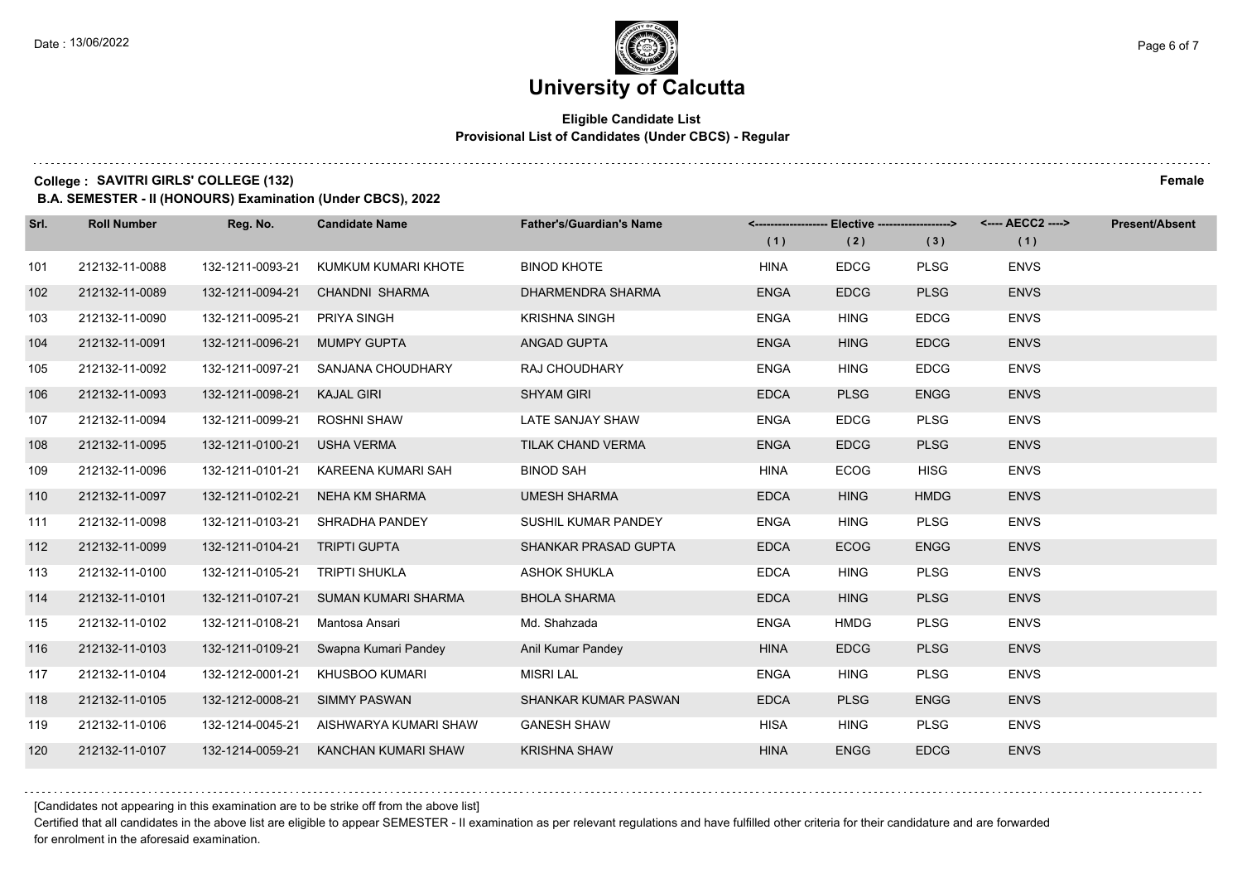### **Eligible Candidate List Provisional List of Candidates (Under CBCS) - Regular**

**College : SAVITRI GIRLS' COLLEGE (132) Female**

**B.A. SEMESTER - II (HONOURS) Examination (Under CBCS), 2022**

| Srl. | <b>Roll Number</b> | Reg. No.                      | <b>Candidate Name</b>                 | <b>Father's/Guardian's Name</b> | (1)         | <-------------------- Elective -------------------><br>(2) | (3)         | <---- AECC2 ----><br>(1) | Present/Absent |
|------|--------------------|-------------------------------|---------------------------------------|---------------------------------|-------------|------------------------------------------------------------|-------------|--------------------------|----------------|
| 101  | 212132-11-0088     | 132-1211-0093-21              | KUMKUM KUMARI KHOTE                   | <b>BINOD KHOTE</b>              | <b>HINA</b> | <b>EDCG</b>                                                | <b>PLSG</b> | <b>ENVS</b>              |                |
| 102  | 212132-11-0089     | 132-1211-0094-21              | CHANDNI SHARMA                        | DHARMENDRA SHARMA               | <b>ENGA</b> | <b>EDCG</b>                                                | <b>PLSG</b> | <b>ENVS</b>              |                |
| 103  | 212132-11-0090     | 132-1211-0095-21              | PRIYA SINGH                           | <b>KRISHNA SINGH</b>            | <b>ENGA</b> | <b>HING</b>                                                | <b>EDCG</b> | <b>ENVS</b>              |                |
| 104  | 212132-11-0091     | 132-1211-0096-21              | MUMPY GUPTA                           | ANGAD GUPTA                     | <b>ENGA</b> | <b>HING</b>                                                | <b>EDCG</b> | <b>ENVS</b>              |                |
| 105  | 212132-11-0092     | 132-1211-0097-21              | SANJANA CHOUDHARY                     | RAJ CHOUDHARY                   | <b>ENGA</b> | <b>HING</b>                                                | <b>EDCG</b> | <b>ENVS</b>              |                |
| 106  | 212132-11-0093     | 132-1211-0098-21              | <b>KAJAL GIRI</b>                     | <b>SHYAM GIRI</b>               | <b>EDCA</b> | <b>PLSG</b>                                                | <b>ENGG</b> | <b>ENVS</b>              |                |
| 107  | 212132-11-0094     | 132-1211-0099-21              | <b>ROSHNI SHAW</b>                    | LATE SANJAY SHAW                | <b>ENGA</b> | <b>EDCG</b>                                                | <b>PLSG</b> | <b>ENVS</b>              |                |
| 108  | 212132-11-0095     | 132-1211-0100-21              | <b>USHA VERMA</b>                     | TILAK CHAND VERMA               | <b>ENGA</b> | <b>EDCG</b>                                                | <b>PLSG</b> | <b>ENVS</b>              |                |
| 109  | 212132-11-0096     | 132-1211-0101-21              | KAREENA KUMARI SAH                    | <b>BINOD SAH</b>                | <b>HINA</b> | ECOG                                                       | <b>HISG</b> | <b>ENVS</b>              |                |
| 110  | 212132-11-0097     | 132-1211-0102-21              | NEHA KM SHARMA                        | <b>UMESH SHARMA</b>             | <b>EDCA</b> | <b>HING</b>                                                | <b>HMDG</b> | <b>ENVS</b>              |                |
| 111  | 212132-11-0098     |                               | 132-1211-0103-21 SHRADHA PANDEY       | SUSHIL KUMAR PANDEY             | <b>ENGA</b> | <b>HING</b>                                                | <b>PLSG</b> | <b>ENVS</b>              |                |
| 112  | 212132-11-0099     | 132-1211-0104-21 TRIPTI GUPTA |                                       | SHANKAR PRASAD GUPTA            | <b>EDCA</b> | <b>ECOG</b>                                                | <b>ENGG</b> | <b>ENVS</b>              |                |
| 113  | 212132-11-0100     | 132-1211-0105-21              | <b>TRIPTI SHUKLA</b>                  | <b>ASHOK SHUKLA</b>             | <b>EDCA</b> | <b>HING</b>                                                | <b>PLSG</b> | <b>ENVS</b>              |                |
| 114  | 212132-11-0101     |                               | 132-1211-0107-21 SUMAN KUMARI SHARMA  | <b>BHOLA SHARMA</b>             | <b>EDCA</b> | <b>HING</b>                                                | <b>PLSG</b> | <b>ENVS</b>              |                |
| 115  | 212132-11-0102     | 132-1211-0108-21              | Mantosa Ansari                        | Md. Shahzada                    | <b>ENGA</b> | <b>HMDG</b>                                                | <b>PLSG</b> | <b>ENVS</b>              |                |
| 116  | 212132-11-0103     |                               | 132-1211-0109-21 Swapna Kumari Pandey | Anil Kumar Pandey               | <b>HINA</b> | <b>EDCG</b>                                                | <b>PLSG</b> | <b>ENVS</b>              |                |
| 117  | 212132-11-0104     | 132-1212-0001-21              | KHUSBOO KUMARI                        | <b>MISRI LAL</b>                | <b>ENGA</b> | <b>HING</b>                                                | <b>PLSG</b> | <b>ENVS</b>              |                |
| 118  | 212132-11-0105     | 132-1212-0008-21 SIMMY PASWAN |                                       | SHANKAR KUMAR PASWAN            | <b>EDCA</b> | <b>PLSG</b>                                                | <b>ENGG</b> | <b>ENVS</b>              |                |
| 119  | 212132-11-0106     | 132-1214-0045-21              | AISHWARYA KUMARI SHAW                 | <b>GANESH SHAW</b>              | HISA        | <b>HING</b>                                                | <b>PLSG</b> | <b>ENVS</b>              |                |
| 120  | 212132-11-0107     | 132-1214-0059-21              | KANCHAN KUMARI SHAW                   | <b>KRISHNA SHAW</b>             | <b>HINA</b> | <b>ENGG</b>                                                | <b>EDCG</b> | <b>ENVS</b>              |                |

[Candidates not appearing in this examination are to be strike off from the above list]

Certified that all candidates in the above list are eligible to appear SEMESTER - II examination as per relevant regulations and have fulfilled other criteria for their candidature and are forwarded for enrolment in the aforesaid examination.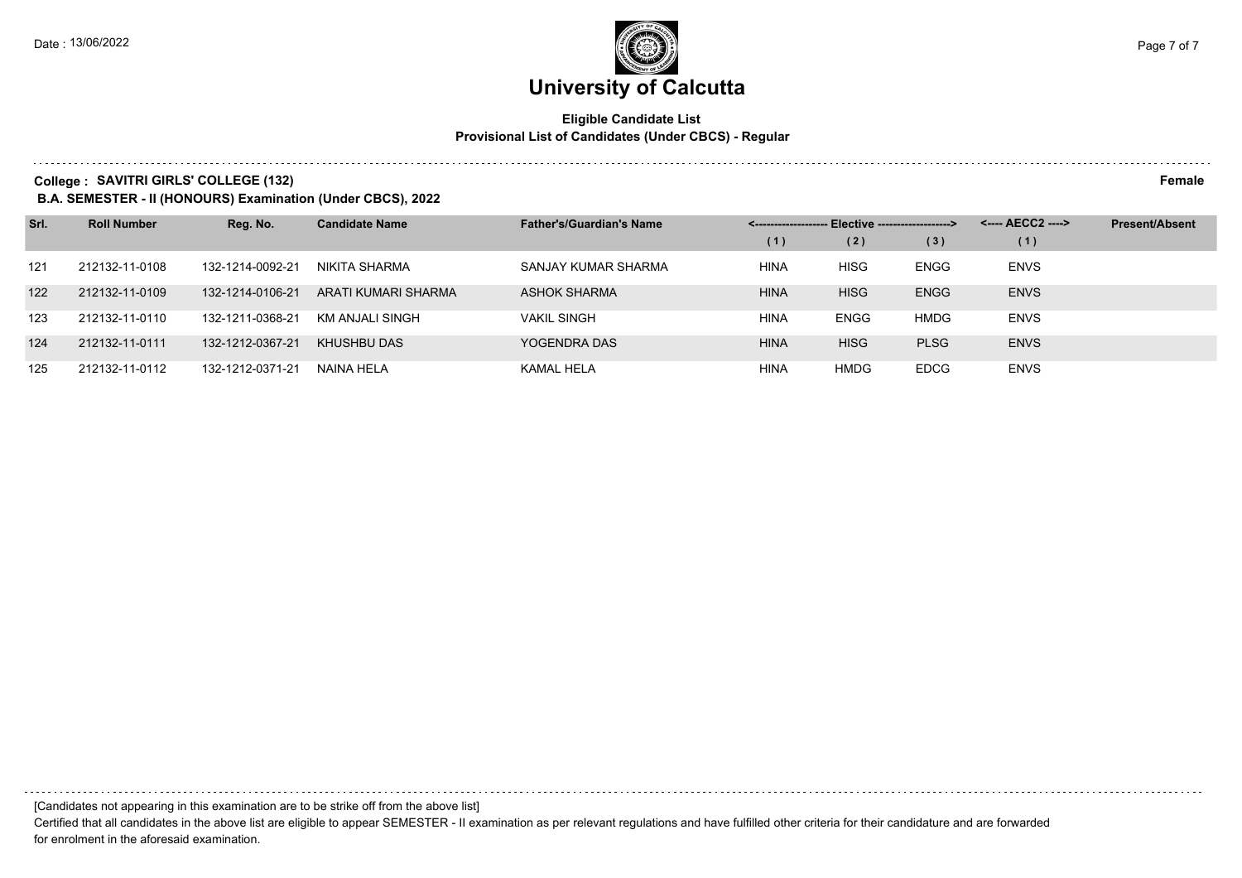### **Eligible Candidate List Provisional List of Candidates (Under CBCS) - Regular**

**College : SAVITRI GIRLS' COLLEGE (132) Female**

**B.A. SEMESTER - II (HONOURS) Examination (Under CBCS), 2022**

| Srl. | <b>Roll Number</b> | Reg. No.         | <b>Candidate Name</b> | <b>Father's/Guardian's Name</b> | - Elective -------------------> |             |             | <---- AECC2 ----> | <b>Present/Absent</b> |
|------|--------------------|------------------|-----------------------|---------------------------------|---------------------------------|-------------|-------------|-------------------|-----------------------|
|      |                    |                  |                       |                                 | (1)                             | (2)         | (3)         | (1)               |                       |
| 121  | 212132-11-0108     | 132-1214-0092-21 | NIKITA SHARMA         | SANJAY KUMAR SHARMA             | <b>HINA</b>                     | <b>HISG</b> | <b>ENGG</b> | <b>ENVS</b>       |                       |
| 122  | 212132-11-0109     | 132-1214-0106-21 | ARATI KUMARI SHARMA   | <b>ASHOK SHARMA</b>             | <b>HINA</b>                     | <b>HISG</b> | <b>ENGG</b> | <b>ENVS</b>       |                       |
| 123  | 212132-11-0110     | 132-1211-0368-21 | KM ANJALI SINGH       | <b>VAKIL SINGH</b>              | <b>HINA</b>                     | <b>ENGG</b> | <b>HMDG</b> | <b>ENVS</b>       |                       |
| 124  | 212132-11-0111     | 132-1212-0367-21 | KHUSHBU DAS           | YOGENDRA DAS                    | <b>HINA</b>                     | <b>HISG</b> | <b>PLSG</b> | <b>ENVS</b>       |                       |
| 125  | 212132-11-0112     | 132-1212-0371-21 | NAINA HELA            | KAMAL HELA                      | <b>HINA</b>                     | <b>HMDG</b> | <b>EDCG</b> | <b>ENVS</b>       |                       |

[Candidates not appearing in this examination are to be strike off from the above list]

Certified that all candidates in the above list are eligible to appear SEMESTER - II examination as per relevant regulations and have fulfilled other criteria for their candidature and are forwarded for enrolment in the aforesaid examination.